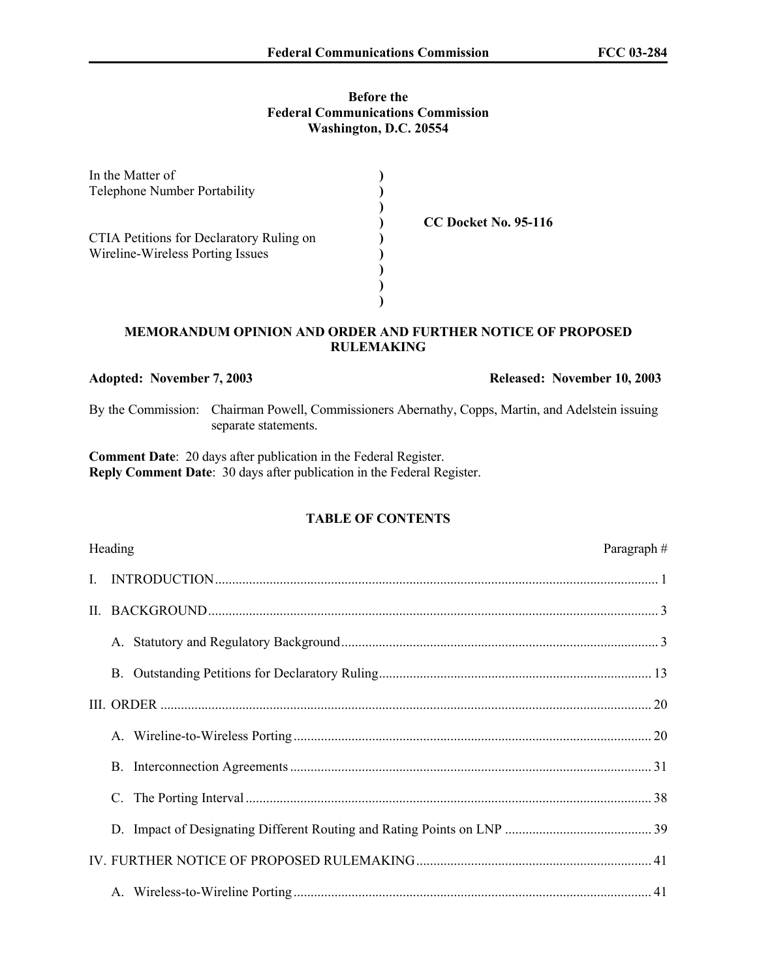## **Before the Federal Communications Commission Washington, D.C. 20554**

| In the Matter of                         |                             |
|------------------------------------------|-----------------------------|
| Telephone Number Portability             |                             |
|                                          |                             |
|                                          | <b>CC Docket No. 95-116</b> |
| CTIA Petitions for Declaratory Ruling on |                             |
| Wireline-Wireless Porting Issues         |                             |
|                                          |                             |
|                                          |                             |
|                                          |                             |

## **MEMORANDUM OPINION AND ORDER AND FURTHER NOTICE OF PROPOSED RULEMAKING**

**Adopted: November 7, 2003 Released: November 10, 2003**

By the Commission: Chairman Powell, Commissioners Abernathy, Copps, Martin, and Adelstein issuing separate statements.

**Comment Date**: 20 days after publication in the Federal Register. **Reply Comment Date**: 30 days after publication in the Federal Register.

## **TABLE OF CONTENTS**

| Heading | Paragraph $#$ |
|---------|---------------|
|         |               |
|         |               |
|         |               |
|         |               |
|         |               |
|         |               |
|         |               |
|         |               |
|         |               |
|         |               |
|         |               |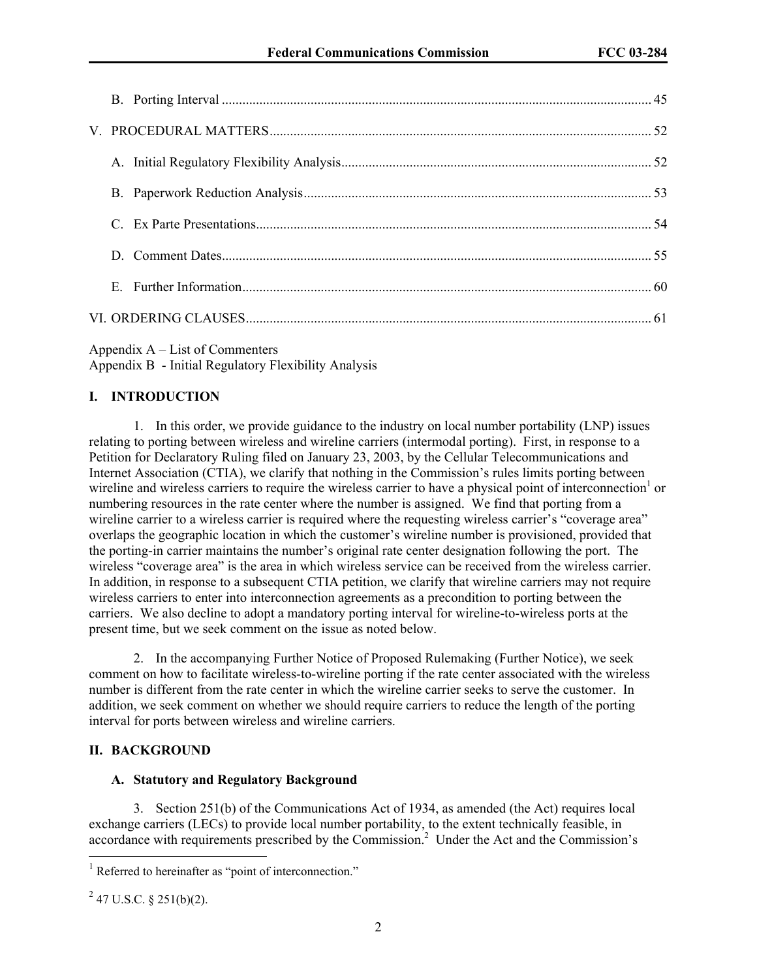| D. |  |
|----|--|
| E. |  |
|    |  |

Appendix A – List of Commenters

Appendix B - Initial Regulatory Flexibility Analysis

## **I. INTRODUCTION**

1. In this order, we provide guidance to the industry on local number portability (LNP) issues relating to porting between wireless and wireline carriers (intermodal porting). First, in response to a Petition for Declaratory Ruling filed on January 23, 2003, by the Cellular Telecommunications and Internet Association (CTIA), we clarify that nothing in the Commission's rules limits porting between wireline and wireless carriers to require the wireless carrier to have a physical point of interconnection<sup>1</sup> or numbering resources in the rate center where the number is assigned. We find that porting from a wireline carrier to a wireless carrier is required where the requesting wireless carrier's "coverage area" overlaps the geographic location in which the customer's wireline number is provisioned, provided that the porting-in carrier maintains the number's original rate center designation following the port. The wireless "coverage area" is the area in which wireless service can be received from the wireless carrier. In addition, in response to a subsequent CTIA petition, we clarify that wireline carriers may not require wireless carriers to enter into interconnection agreements as a precondition to porting between the carriers. We also decline to adopt a mandatory porting interval for wireline-to-wireless ports at the present time, but we seek comment on the issue as noted below.

2. In the accompanying Further Notice of Proposed Rulemaking (Further Notice), we seek comment on how to facilitate wireless-to-wireline porting if the rate center associated with the wireless number is different from the rate center in which the wireline carrier seeks to serve the customer. In addition, we seek comment on whether we should require carriers to reduce the length of the porting interval for ports between wireless and wireline carriers.

#### **II. BACKGROUND**

#### **A. Statutory and Regulatory Background**

3. Section 251(b) of the Communications Act of 1934, as amended (the Act) requires local exchange carriers (LECs) to provide local number portability, to the extent technically feasible, in accordance with requirements prescribed by the Commission.<sup>2</sup> Under the Act and the Commission's

l

<sup>&</sup>lt;sup>1</sup> Referred to hereinafter as "point of interconnection."

 $2^{2}$  47 U.S.C. § 251(b)(2).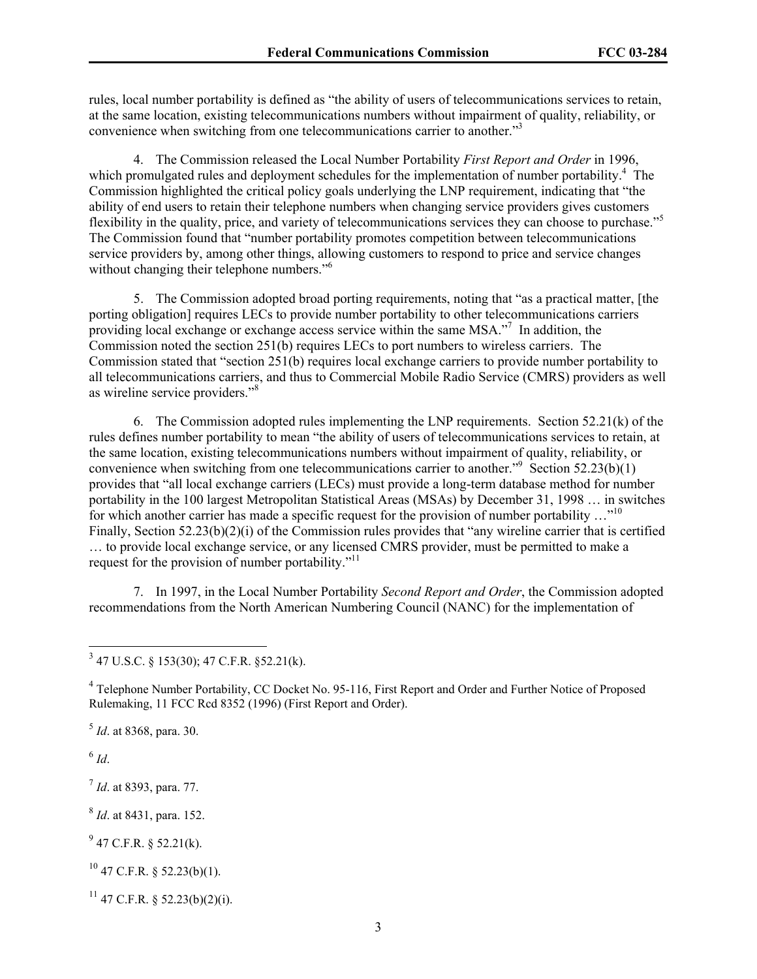rules, local number portability is defined as "the ability of users of telecommunications services to retain, at the same location, existing telecommunications numbers without impairment of quality, reliability, or convenience when switching from one telecommunications carrier to another."3

4. The Commission released the Local Number Portability *First Report and Order* in 1996, which promulgated rules and deployment schedules for the implementation of number portability.<sup>4</sup> The Commission highlighted the critical policy goals underlying the LNP requirement, indicating that "the ability of end users to retain their telephone numbers when changing service providers gives customers flexibility in the quality, price, and variety of telecommunications services they can choose to purchase."<sup>5</sup> The Commission found that "number portability promotes competition between telecommunications service providers by, among other things, allowing customers to respond to price and service changes without changing their telephone numbers."<sup>6</sup>

5. The Commission adopted broad porting requirements, noting that "as a practical matter, [the porting obligation] requires LECs to provide number portability to other telecommunications carriers providing local exchange or exchange access service within the same MSA."<sup>7</sup> In addition, the Commission noted the section 251(b) requires LECs to port numbers to wireless carriers. The Commission stated that "section 251(b) requires local exchange carriers to provide number portability to all telecommunications carriers, and thus to Commercial Mobile Radio Service (CMRS) providers as well as wireline service providers."<sup>8</sup>

6. The Commission adopted rules implementing the LNP requirements. Section 52.21(k) of the rules defines number portability to mean "the ability of users of telecommunications services to retain, at the same location, existing telecommunications numbers without impairment of quality, reliability, or convenience when switching from one telecommunications carrier to another."<sup>9</sup> Section 52.23(b)(1) provides that "all local exchange carriers (LECs) must provide a long-term database method for number portability in the 100 largest Metropolitan Statistical Areas (MSAs) by December 31, 1998 … in switches for which another carrier has made a specific request for the provision of number portability  $\dots^{10}$ Finally, Section 52.23(b)(2)(i) of the Commission rules provides that "any wireline carrier that is certified … to provide local exchange service, or any licensed CMRS provider, must be permitted to make a request for the provision of number portability."<sup>11</sup>

7. In 1997, in the Local Number Portability *Second Report and Order*, the Commission adopted recommendations from the North American Numbering Council (NANC) for the implementation of

<sup>4</sup> Telephone Number Portability, CC Docket No. 95-116, First Report and Order and Further Notice of Proposed Rulemaking, 11 FCC Rcd 8352 (1996) (First Report and Order).

<sup>5</sup> *Id*. at 8368, para. 30.

 $6$   $Id.$ 

<sup>7</sup> *Id*. at 8393, para. 77.

<sup>8</sup> *Id*. at 8431, para. 152.

 $9^9$  47 C.F.R. § 52.21(k).

 $^{10}$  47 C.F.R. § 52.23(b)(1).

 $11$  47 C.F.R. § 52.23(b)(2)(i).

 3 47 U.S.C. § 153(30); 47 C.F.R. §52.21(k).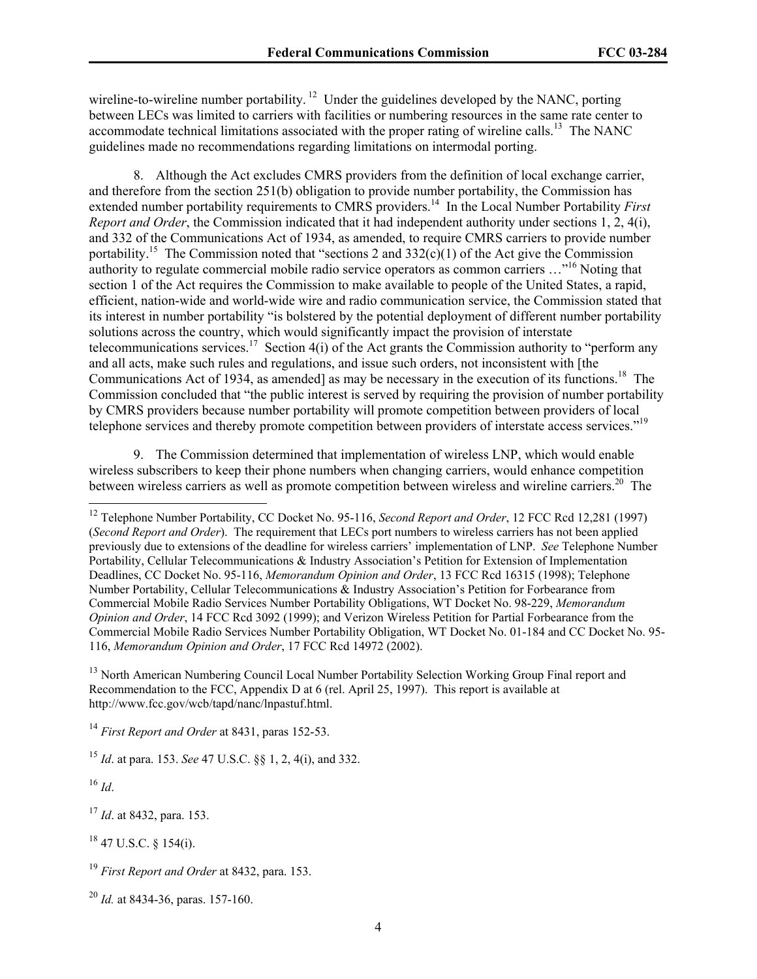wireline-to-wireline number portability.<sup>12</sup> Under the guidelines developed by the NANC, porting between LECs was limited to carriers with facilities or numbering resources in the same rate center to accommodate technical limitations associated with the proper rating of wireline calls.<sup>13</sup> The NANC guidelines made no recommendations regarding limitations on intermodal porting.

8. Although the Act excludes CMRS providers from the definition of local exchange carrier, and therefore from the section 251(b) obligation to provide number portability, the Commission has extended number portability requirements to CMRS providers.<sup>14</sup> In the Local Number Portability *First Report and Order*, the Commission indicated that it had independent authority under sections 1, 2, 4(i), and 332 of the Communications Act of 1934, as amended, to require CMRS carriers to provide number portability.<sup>15</sup> The Commission noted that "sections 2 and  $332(c)(1)$  of the Act give the Commission authority to regulate commercial mobile radio service operators as common carriers …"16 Noting that section 1 of the Act requires the Commission to make available to people of the United States, a rapid, efficient, nation-wide and world-wide wire and radio communication service, the Commission stated that its interest in number portability "is bolstered by the potential deployment of different number portability solutions across the country, which would significantly impact the provision of interstate telecommunications services.<sup>17</sup> Section 4(i) of the Act grants the Commission authority to "perform any and all acts, make such rules and regulations, and issue such orders, not inconsistent with [the Communications Act of 1934, as amended] as may be necessary in the execution of its functions.18 The Commission concluded that "the public interest is served by requiring the provision of number portability by CMRS providers because number portability will promote competition between providers of local telephone services and thereby promote competition between providers of interstate access services."19

9. The Commission determined that implementation of wireless LNP, which would enable wireless subscribers to keep their phone numbers when changing carriers, would enhance competition between wireless carriers as well as promote competition between wireless and wireline carriers.<sup>20</sup> The

<sup>13</sup> North American Numbering Council Local Number Portability Selection Working Group Final report and Recommendation to the FCC, Appendix D at 6 (rel. April 25, 1997). This report is available at http://www.fcc.gov/wcb/tapd/nanc/lnpastuf.html.

<sup>16</sup> *Id*.

l

<sup>17</sup> *Id*. at 8432, para. 153.

18 47 U.S.C. § 154(i).

<sup>12</sup> Telephone Number Portability, CC Docket No. 95-116, *Second Report and Order*, 12 FCC Rcd 12,281 (1997) (*Second Report and Order*). The requirement that LECs port numbers to wireless carriers has not been applied previously due to extensions of the deadline for wireless carriers' implementation of LNP. *See* Telephone Number Portability, Cellular Telecommunications & Industry Association's Petition for Extension of Implementation Deadlines, CC Docket No. 95-116, *Memorandum Opinion and Order*, 13 FCC Rcd 16315 (1998); Telephone Number Portability, Cellular Telecommunications & Industry Association's Petition for Forbearance from Commercial Mobile Radio Services Number Portability Obligations, WT Docket No. 98-229, *Memorandum Opinion and Order*, 14 FCC Rcd 3092 (1999); and Verizon Wireless Petition for Partial Forbearance from the Commercial Mobile Radio Services Number Portability Obligation, WT Docket No. 01-184 and CC Docket No. 95- 116, *Memorandum Opinion and Order*, 17 FCC Rcd 14972 (2002).

<sup>14</sup> *First Report and Order* at 8431, paras 152-53.

<sup>15</sup> *Id*. at para. 153. *See* 47 U.S.C. §§ 1, 2, 4(i), and 332.

<sup>19</sup> *First Report and Order* at 8432, para. 153.

<sup>20</sup> *Id.* at 8434-36, paras. 157-160.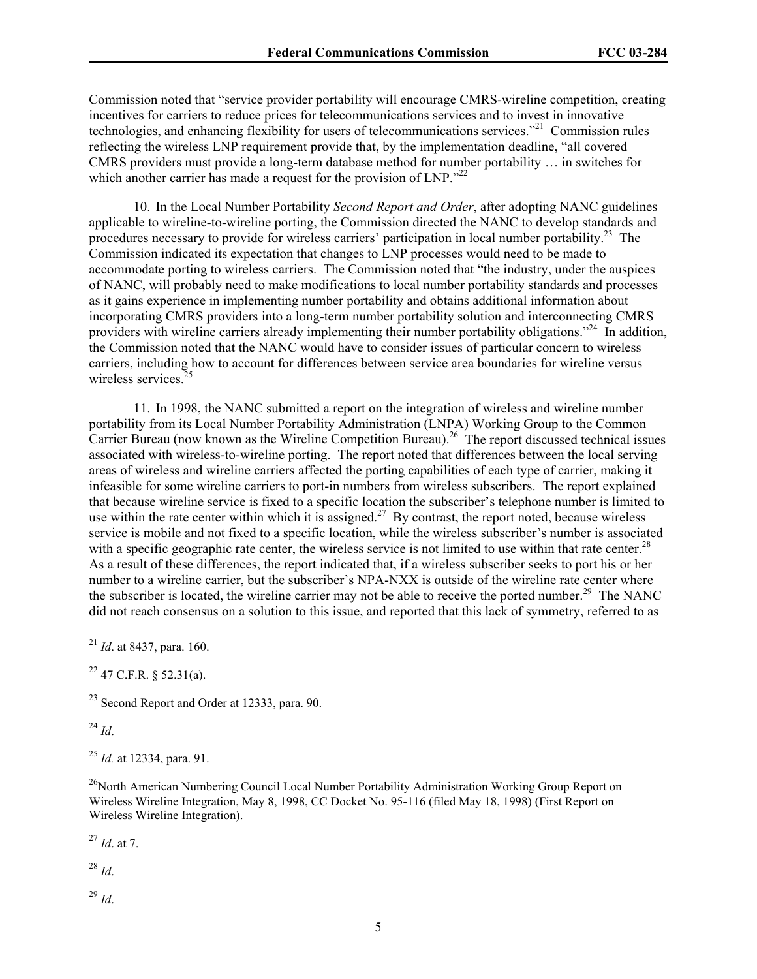Commission noted that "service provider portability will encourage CMRS-wireline competition, creating incentives for carriers to reduce prices for telecommunications services and to invest in innovative technologies, and enhancing flexibility for users of telecommunications services."21 Commission rules reflecting the wireless LNP requirement provide that, by the implementation deadline, "all covered CMRS providers must provide a long-term database method for number portability … in switches for which another carrier has made a request for the provision of LNP."<sup>22</sup>

10. In the Local Number Portability *Second Report and Order*, after adopting NANC guidelines applicable to wireline-to-wireline porting, the Commission directed the NANC to develop standards and procedures necessary to provide for wireless carriers' participation in local number portability.23 The Commission indicated its expectation that changes to LNP processes would need to be made to accommodate porting to wireless carriers. The Commission noted that "the industry, under the auspices of NANC, will probably need to make modifications to local number portability standards and processes as it gains experience in implementing number portability and obtains additional information about incorporating CMRS providers into a long-term number portability solution and interconnecting CMRS providers with wireline carriers already implementing their number portability obligations."<sup>24</sup> In addition, the Commission noted that the NANC would have to consider issues of particular concern to wireless carriers, including how to account for differences between service area boundaries for wireline versus wireless services.<sup>25</sup>

11. In 1998, the NANC submitted a report on the integration of wireless and wireline number portability from its Local Number Portability Administration (LNPA) Working Group to the Common Carrier Bureau (now known as the Wireline Competition Bureau).<sup>26</sup> The report discussed technical issues associated with wireless-to-wireline porting. The report noted that differences between the local serving areas of wireless and wireline carriers affected the porting capabilities of each type of carrier, making it infeasible for some wireline carriers to port-in numbers from wireless subscribers. The report explained that because wireline service is fixed to a specific location the subscriber's telephone number is limited to use within the rate center within which it is assigned.<sup>27</sup> By contrast, the report noted, because wireless service is mobile and not fixed to a specific location, while the wireless subscriber's number is associated with a specific geographic rate center, the wireless service is not limited to use within that rate center.<sup>28</sup> As a result of these differences, the report indicated that, if a wireless subscriber seeks to port his or her number to a wireline carrier, but the subscriber's NPA-NXX is outside of the wireline rate center where the subscriber is located, the wireline carrier may not be able to receive the ported number.<sup>29</sup> The NANC did not reach consensus on a solution to this issue, and reported that this lack of symmetry, referred to as

 $^{22}$  47 C.F.R. § 52.31(a).

 $^{23}$  Second Report and Order at 12333, para. 90.

<sup>24</sup> *Id*.

l

<sup>25</sup> *Id.* at 12334, para. 91.

<sup>26</sup>North American Numbering Council Local Number Portability Administration Working Group Report on Wireless Wireline Integration, May 8, 1998, CC Docket No. 95-116 (filed May 18, 1998) (First Report on Wireless Wireline Integration).

<sup>27</sup> *Id*. at 7.

<sup>28</sup> *Id*.

<sup>29</sup> *Id*.

<sup>21</sup> *Id*. at 8437, para. 160.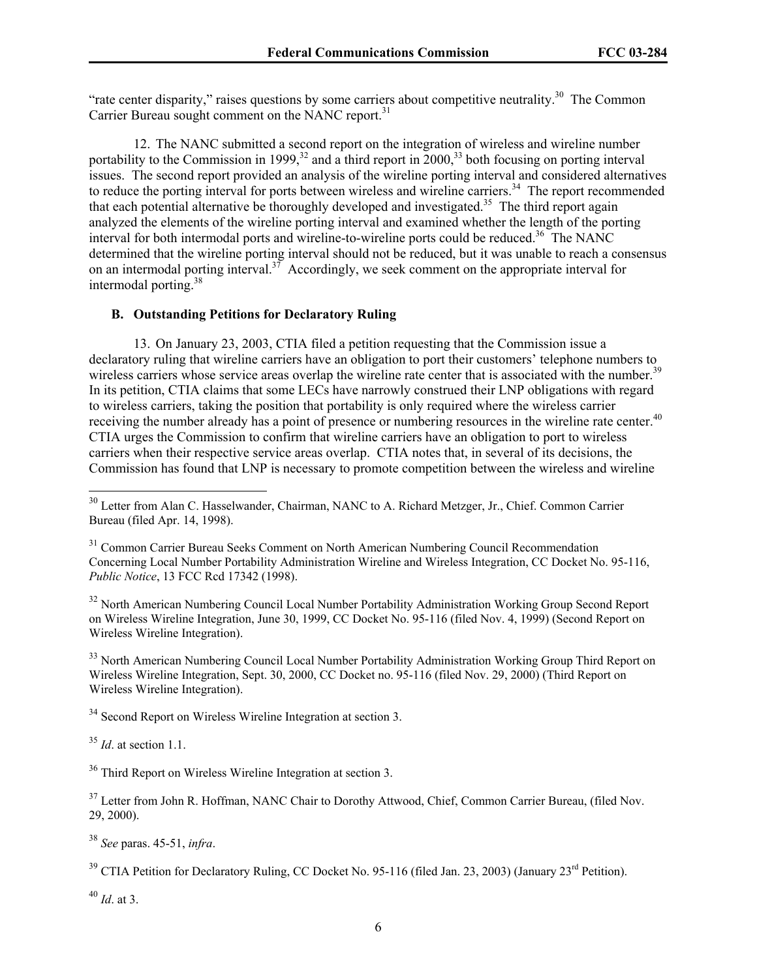"rate center disparity," raises questions by some carriers about competitive neutrality.<sup>30</sup> The Common Carrier Bureau sought comment on the NANC report.<sup>31</sup>

12. The NANC submitted a second report on the integration of wireless and wireline number portability to the Commission in 1999,<sup>32</sup> and a third report in  $2000$ ,<sup>33</sup> both focusing on porting interval issues. The second report provided an analysis of the wireline porting interval and considered alternatives to reduce the porting interval for ports between wireless and wireline carriers.<sup>34</sup> The report recommended that each potential alternative be thoroughly developed and investigated.<sup>35</sup> The third report again analyzed the elements of the wireline porting interval and examined whether the length of the porting interval for both intermodal ports and wireline-to-wireline ports could be reduced.<sup>36</sup> The NANC determined that the wireline porting interval should not be reduced, but it was unable to reach a consensus on an intermodal porting interval.<sup>37</sup> Accordingly, we seek comment on the appropriate interval for intermodal porting.38

## **B. Outstanding Petitions for Declaratory Ruling**

13. On January 23, 2003, CTIA filed a petition requesting that the Commission issue a declaratory ruling that wireline carriers have an obligation to port their customers' telephone numbers to wireless carriers whose service areas overlap the wireline rate center that is associated with the number.<sup>39</sup> In its petition, CTIA claims that some LECs have narrowly construed their LNP obligations with regard to wireless carriers, taking the position that portability is only required where the wireless carrier receiving the number already has a point of presence or numbering resources in the wireline rate center.<sup>40</sup> CTIA urges the Commission to confirm that wireline carriers have an obligation to port to wireless carriers when their respective service areas overlap. CTIA notes that, in several of its decisions, the Commission has found that LNP is necessary to promote competition between the wireless and wireline

<sup>32</sup> North American Numbering Council Local Number Portability Administration Working Group Second Report on Wireless Wireline Integration, June 30, 1999, CC Docket No. 95-116 (filed Nov. 4, 1999) (Second Report on Wireless Wireline Integration).

<sup>33</sup> North American Numbering Council Local Number Portability Administration Working Group Third Report on Wireless Wireline Integration, Sept. 30, 2000, CC Docket no. 95-116 (filed Nov. 29, 2000) (Third Report on Wireless Wireline Integration).

<sup>34</sup> Second Report on Wireless Wireline Integration at section 3.

<sup>35</sup> *Id*. at section 1.1.

1

<sup>36</sup> Third Report on Wireless Wireline Integration at section 3.

<sup>37</sup> Letter from John R. Hoffman, NANC Chair to Dorothy Attwood, Chief, Common Carrier Bureau, (filed Nov. 29, 2000).

<sup>38</sup> *See* paras. 45-51, *infra*.

<sup>39</sup> CTIA Petition for Declaratory Ruling, CC Docket No. 95-116 (filed Jan. 23, 2003) (January 23<sup>rd</sup> Petition).

<sup>40</sup> *Id*. at 3.

<sup>&</sup>lt;sup>30</sup> Letter from Alan C. Hasselwander, Chairman, NANC to A. Richard Metzger, Jr., Chief. Common Carrier Bureau (filed Apr. 14, 1998).

<sup>&</sup>lt;sup>31</sup> Common Carrier Bureau Seeks Comment on North American Numbering Council Recommendation Concerning Local Number Portability Administration Wireline and Wireless Integration, CC Docket No. 95-116, *Public Notice*, 13 FCC Rcd 17342 (1998).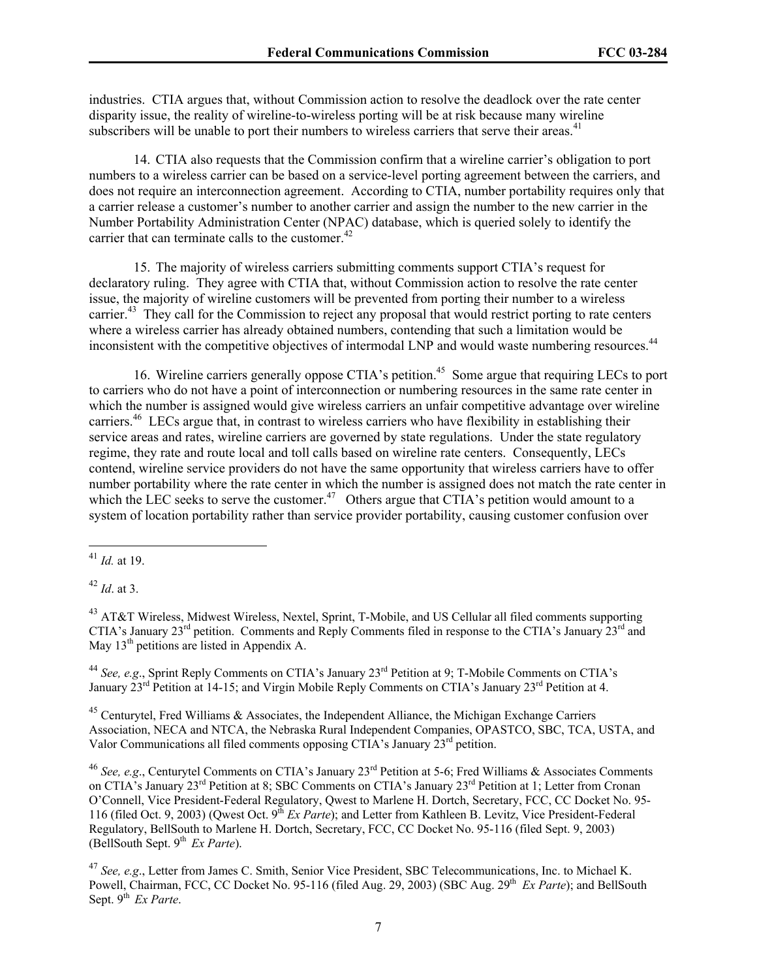industries. CTIA argues that, without Commission action to resolve the deadlock over the rate center disparity issue, the reality of wireline-to-wireless porting will be at risk because many wireline subscribers will be unable to port their numbers to wireless carriers that serve their areas.<sup>41</sup>

14. CTIA also requests that the Commission confirm that a wireline carrier's obligation to port numbers to a wireless carrier can be based on a service-level porting agreement between the carriers, and does not require an interconnection agreement. According to CTIA, number portability requires only that a carrier release a customer's number to another carrier and assign the number to the new carrier in the Number Portability Administration Center (NPAC) database, which is queried solely to identify the carrier that can terminate calls to the customer. $42$ 

15. The majority of wireless carriers submitting comments support CTIA's request for declaratory ruling. They agree with CTIA that, without Commission action to resolve the rate center issue, the majority of wireline customers will be prevented from porting their number to a wireless carrier.<sup>43</sup> They call for the Commission to reject any proposal that would restrict porting to rate centers where a wireless carrier has already obtained numbers, contending that such a limitation would be inconsistent with the competitive objectives of intermodal LNP and would waste numbering resources.<sup>44</sup>

16. Wireline carriers generally oppose CTIA's petition.<sup>45</sup> Some argue that requiring LECs to port to carriers who do not have a point of interconnection or numbering resources in the same rate center in which the number is assigned would give wireless carriers an unfair competitive advantage over wireline carriers.46 LECs argue that, in contrast to wireless carriers who have flexibility in establishing their service areas and rates, wireline carriers are governed by state regulations. Under the state regulatory regime, they rate and route local and toll calls based on wireline rate centers. Consequently, LECs contend, wireline service providers do not have the same opportunity that wireless carriers have to offer number portability where the rate center in which the number is assigned does not match the rate center in which the LEC seeks to serve the customer.<sup>47</sup> Others argue that CTIA's petition would amount to a system of location portability rather than service provider portability, causing customer confusion over

1

<sup>42</sup> *Id*. at 3.

<sup>44</sup> See, e.g., Sprint Reply Comments on CTIA's January 23<sup>rd</sup> Petition at 9; T-Mobile Comments on CTIA's January  $23^{rd}$  Petition at 14-15; and Virgin Mobile Reply Comments on CTIA's January  $23^{rd}$  Petition at 4.

 $45$  Centurytel, Fred Williams & Associates, the Independent Alliance, the Michigan Exchange Carriers Association, NECA and NTCA, the Nebraska Rural Independent Companies, OPASTCO, SBC, TCA, USTA, and Valor Communications all filed comments opposing CTIA's January 23rd petition.

<sup>46</sup> See, e.g., Centurytel Comments on CTIA's January 23<sup>rd</sup> Petition at 5-6; Fred Williams & Associates Comments on CTIA's January 23<sup>rd</sup> Petition at 8; SBC Comments on CTIA's January 23<sup>rd</sup> Petition at 1; Letter from Cronan O'Connell, Vice President-Federal Regulatory, Qwest to Marlene H. Dortch, Secretary, FCC, CC Docket No. 95- 116 (filed Oct. 9, 2003) (Qwest Oct. 9<sup>th</sup> *Ex Parte*); and Letter from Kathleen B. Levitz, Vice President-Federal Regulatory, BellSouth to Marlene H. Dortch, Secretary, FCC, CC Docket No. 95-116 (filed Sept. 9, 2003) (BellSouth Sept.  $9^{th}$  *Ex Parte*).

<sup>41</sup> *Id.* at 19.

<sup>&</sup>lt;sup>43</sup> AT&T Wireless, Midwest Wireless, Nextel, Sprint, T-Mobile, and US Cellular all filed comments supporting CTIA's January 23<sup>rd</sup> petition. Comments and Reply Comments filed in response to the CTIA's January 23<sup>rd</sup> and May 13<sup>th</sup> petitions are listed in Appendix A.

<sup>47</sup> *See, e.g*., Letter from James C. Smith, Senior Vice President, SBC Telecommunications, Inc. to Michael K. Powell, Chairman, FCC, CC Docket No. 95-116 (filed Aug. 29, 2003) (SBC Aug. 29<sup>th</sup> *Ex Parte*); and BellSouth Sept. 9<sup>th</sup> *Ex Parte*.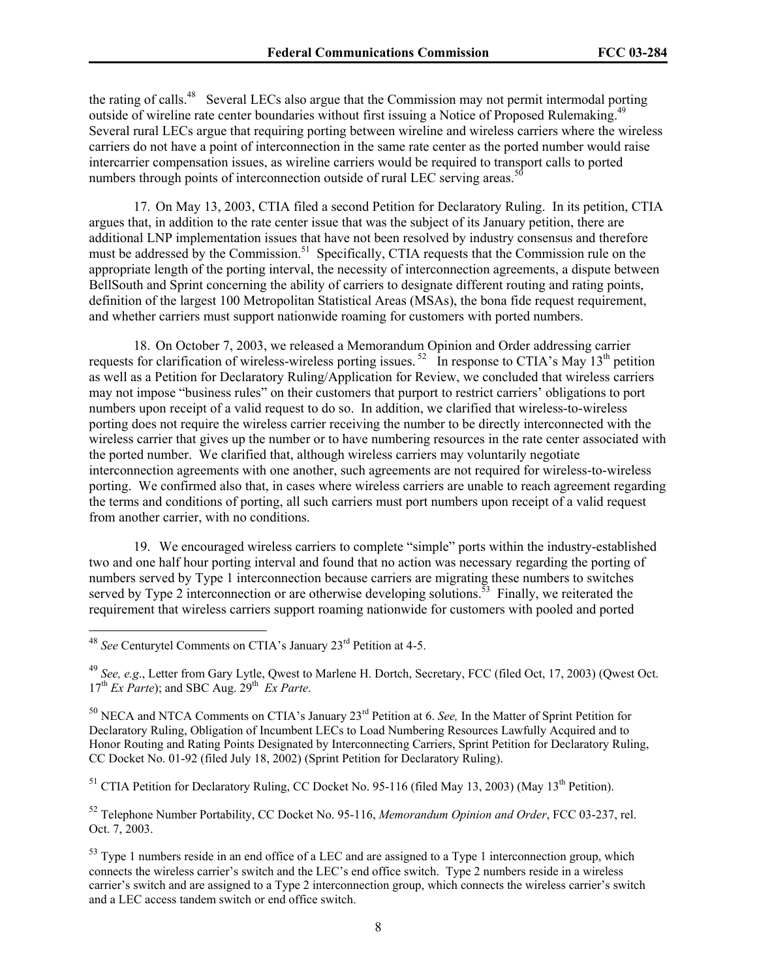the rating of calls.48 Several LECs also argue that the Commission may not permit intermodal porting outside of wireline rate center boundaries without first issuing a Notice of Proposed Rulemaking.<sup>49</sup> Several rural LECs argue that requiring porting between wireline and wireless carriers where the wireless carriers do not have a point of interconnection in the same rate center as the ported number would raise intercarrier compensation issues, as wireline carriers would be required to transport calls to ported numbers through points of interconnection outside of rural LEC serving areas.<sup>50</sup>

17. On May 13, 2003, CTIA filed a second Petition for Declaratory Ruling. In its petition, CTIA argues that, in addition to the rate center issue that was the subject of its January petition, there are additional LNP implementation issues that have not been resolved by industry consensus and therefore must be addressed by the Commission.<sup>51</sup> Specifically, CTIA requests that the Commission rule on the appropriate length of the porting interval, the necessity of interconnection agreements, a dispute between BellSouth and Sprint concerning the ability of carriers to designate different routing and rating points, definition of the largest 100 Metropolitan Statistical Areas (MSAs), the bona fide request requirement, and whether carriers must support nationwide roaming for customers with ported numbers.

18. On October 7, 2003, we released a Memorandum Opinion and Order addressing carrier requests for clarification of wireless-wireless porting issues.<sup>52</sup> In response to CTIA's May  $13<sup>th</sup>$  petition as well as a Petition for Declaratory Ruling/Application for Review, we concluded that wireless carriers may not impose "business rules" on their customers that purport to restrict carriers' obligations to port numbers upon receipt of a valid request to do so. In addition, we clarified that wireless-to-wireless porting does not require the wireless carrier receiving the number to be directly interconnected with the wireless carrier that gives up the number or to have numbering resources in the rate center associated with the ported number. We clarified that, although wireless carriers may voluntarily negotiate interconnection agreements with one another, such agreements are not required for wireless-to-wireless porting. We confirmed also that, in cases where wireless carriers are unable to reach agreement regarding the terms and conditions of porting, all such carriers must port numbers upon receipt of a valid request from another carrier, with no conditions.

19. We encouraged wireless carriers to complete "simple" ports within the industry-established two and one half hour porting interval and found that no action was necessary regarding the porting of numbers served by Type 1 interconnection because carriers are migrating these numbers to switches served by Type 2 interconnection or are otherwise developing solutions.<sup>53</sup> Finally, we reiterated the requirement that wireless carriers support roaming nationwide for customers with pooled and ported

1

 $<sup>51</sup>$  CTIA Petition for Declaratory Ruling, CC Docket No. 95-116 (filed May 13, 2003) (May 13<sup>th</sup> Petition).</sup>

52 Telephone Number Portability, CC Docket No. 95-116, *Memorandum Opinion and Order*, FCC 03-237, rel. Oct. 7, 2003.

<sup>48</sup> *See* Centurytel Comments on CTIA's January 23rd Petition at 4-5.

<sup>49</sup> *See, e.g*., Letter from Gary Lytle, Qwest to Marlene H. Dortch, Secretary, FCC (filed Oct, 17, 2003) (Qwest Oct. 17<sup>th</sup> *Ex Parte*); and SBC Aug. 29<sup>th</sup> *Ex Parte*.

<sup>50</sup> NECA and NTCA Comments on CTIA's January 23rd Petition at 6. *See,* In the Matter of Sprint Petition for Declaratory Ruling, Obligation of Incumbent LECs to Load Numbering Resources Lawfully Acquired and to Honor Routing and Rating Points Designated by Interconnecting Carriers, Sprint Petition for Declaratory Ruling, CC Docket No. 01-92 (filed July 18, 2002) (Sprint Petition for Declaratory Ruling).

<sup>&</sup>lt;sup>53</sup> Type 1 numbers reside in an end office of a LEC and are assigned to a Type 1 interconnection group, which connects the wireless carrier's switch and the LEC's end office switch. Type 2 numbers reside in a wireless carrier's switch and are assigned to a Type 2 interconnection group, which connects the wireless carrier's switch and a LEC access tandem switch or end office switch.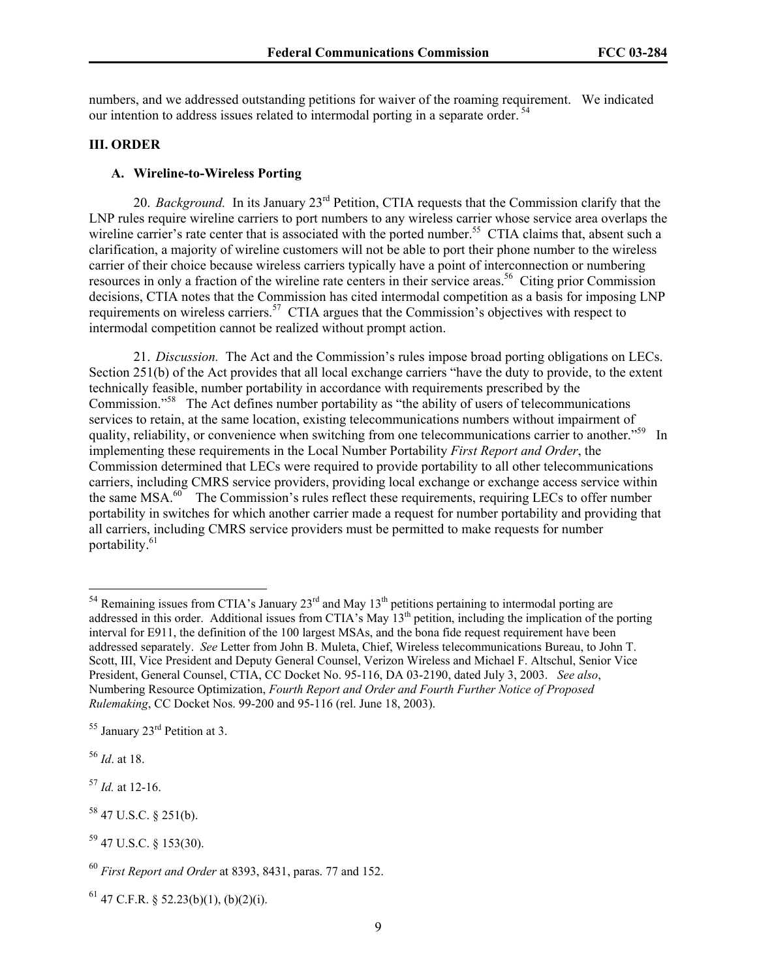numbers, and we addressed outstanding petitions for waiver of the roaming requirement. We indicated our intention to address issues related to intermodal porting in a separate order. 54

## **III. ORDER**

#### **A. Wireline-to-Wireless Porting**

20. *Background.* In its January 23rd Petition, CTIA requests that the Commission clarify that the LNP rules require wireline carriers to port numbers to any wireless carrier whose service area overlaps the wireline carrier's rate center that is associated with the ported number.<sup>55</sup> CTIA claims that, absent such a clarification, a majority of wireline customers will not be able to port their phone number to the wireless carrier of their choice because wireless carriers typically have a point of interconnection or numbering resources in only a fraction of the wireline rate centers in their service areas.<sup>56</sup> Citing prior Commission decisions, CTIA notes that the Commission has cited intermodal competition as a basis for imposing LNP requirements on wireless carriers.<sup>57</sup> CTIA argues that the Commission's objectives with respect to intermodal competition cannot be realized without prompt action.

21. *Discussion.* The Act and the Commission's rules impose broad porting obligations on LECs. Section 251(b) of the Act provides that all local exchange carriers "have the duty to provide, to the extent technically feasible, number portability in accordance with requirements prescribed by the Commission."58 The Act defines number portability as "the ability of users of telecommunications services to retain, at the same location, existing telecommunications numbers without impairment of quality, reliability, or convenience when switching from one telecommunications carrier to another."<sup>59</sup> In implementing these requirements in the Local Number Portability *First Report and Order*, the Commission determined that LECs were required to provide portability to all other telecommunications carriers, including CMRS service providers, providing local exchange or exchange access service within the same MSA.<sup>60</sup> The Commission's rules reflect these requirements, requiring LECs to offer number portability in switches for which another carrier made a request for number portability and providing that all carriers, including CMRS service providers must be permitted to make requests for number portability.<sup>61</sup>

<sup>56</sup> *Id*. at 18.

l

<sup>57</sup> *Id.* at 12-16.

 $58$  47 U.S.C. § 251(b).

<sup>&</sup>lt;sup>54</sup> Remaining issues from CTIA's January 23<sup>rd</sup> and May 13<sup>th</sup> petitions pertaining to intermodal porting are addressed in this order. Additional issues from CTIA's May 13<sup>th</sup> petition, including the implication of the porting interval for E911, the definition of the 100 largest MSAs, and the bona fide request requirement have been addressed separately. *See* Letter from John B. Muleta, Chief, Wireless telecommunications Bureau, to John T. Scott, III, Vice President and Deputy General Counsel, Verizon Wireless and Michael F. Altschul, Senior Vice President, General Counsel, CTIA, CC Docket No. 95-116, DA 03-2190, dated July 3, 2003. *See also*, Numbering Resource Optimization, *Fourth Report and Order and Fourth Further Notice of Proposed Rulemaking*, CC Docket Nos. 99-200 and 95-116 (rel. June 18, 2003).

 $55$  January  $23<sup>rd</sup>$  Petition at 3.

<sup>59 47</sup> U.S.C. § 153(30).

<sup>60</sup> *First Report and Order* at 8393, 8431, paras. 77 and 152.

 $61$  47 C.F.R. § 52.23(b)(1), (b)(2)(i).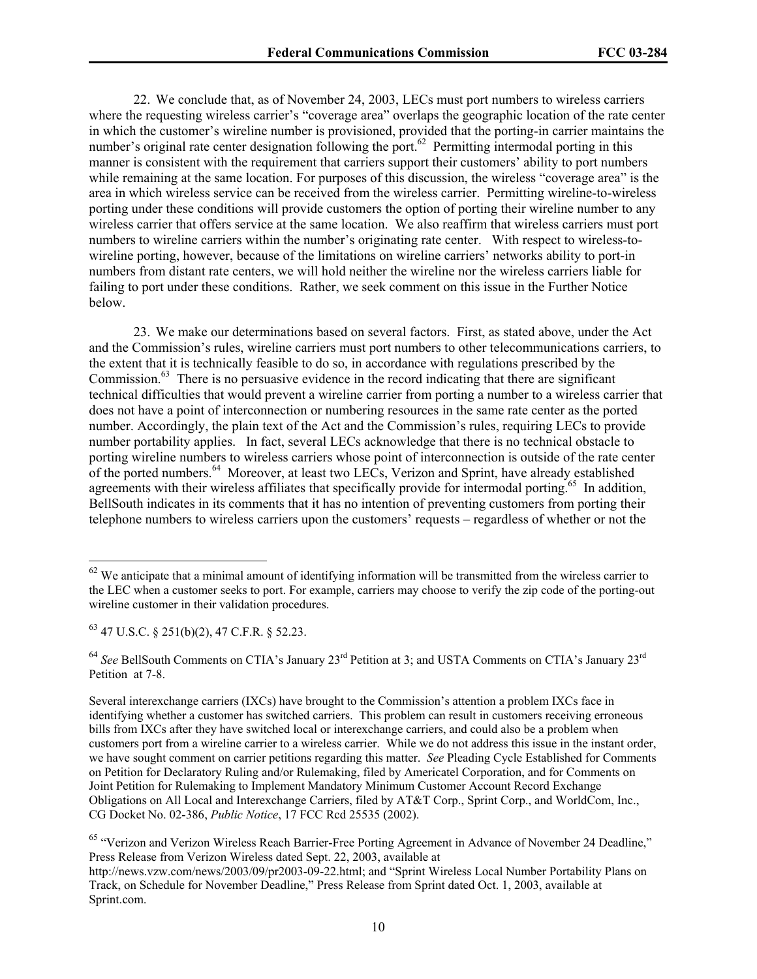22. We conclude that, as of November 24, 2003, LECs must port numbers to wireless carriers where the requesting wireless carrier's "coverage area" overlaps the geographic location of the rate center in which the customer's wireline number is provisioned, provided that the porting-in carrier maintains the number's original rate center designation following the port.<sup>62</sup> Permitting intermodal porting in this manner is consistent with the requirement that carriers support their customers' ability to port numbers while remaining at the same location. For purposes of this discussion, the wireless "coverage area" is the area in which wireless service can be received from the wireless carrier. Permitting wireline-to-wireless porting under these conditions will provide customers the option of porting their wireline number to any wireless carrier that offers service at the same location. We also reaffirm that wireless carriers must port numbers to wireline carriers within the number's originating rate center. With respect to wireless-towireline porting, however, because of the limitations on wireline carriers' networks ability to port-in numbers from distant rate centers, we will hold neither the wireline nor the wireless carriers liable for failing to port under these conditions. Rather, we seek comment on this issue in the Further Notice below.

23. We make our determinations based on several factors. First, as stated above, under the Act and the Commission's rules, wireline carriers must port numbers to other telecommunications carriers, to the extent that it is technically feasible to do so, in accordance with regulations prescribed by the Commission.<sup>63</sup> There is no persuasive evidence in the record indicating that there are significant technical difficulties that would prevent a wireline carrier from porting a number to a wireless carrier that does not have a point of interconnection or numbering resources in the same rate center as the ported number. Accordingly, the plain text of the Act and the Commission's rules, requiring LECs to provide number portability applies. In fact, several LECs acknowledge that there is no technical obstacle to porting wireline numbers to wireless carriers whose point of interconnection is outside of the rate center of the ported numbers.<sup>64</sup> Moreover, at least two LECs, Verizon and Sprint, have already established agreements with their wireless affiliates that specifically provide for intermodal porting.<sup>65</sup> In addition, BellSouth indicates in its comments that it has no intention of preventing customers from porting their telephone numbers to wireless carriers upon the customers' requests – regardless of whether or not the

1

 $62$  We anticipate that a minimal amount of identifying information will be transmitted from the wireless carrier to the LEC when a customer seeks to port. For example, carriers may choose to verify the zip code of the porting-out wireline customer in their validation procedures.

 $63$  47 U.S.C. § 251(b)(2), 47 C.F.R. § 52.23.

<sup>&</sup>lt;sup>64</sup> See BellSouth Comments on CTIA's January 23<sup>rd</sup> Petition at 3; and USTA Comments on CTIA's January 23<sup>rd</sup> Petition at 7-8.

Several interexchange carriers (IXCs) have brought to the Commission's attention a problem IXCs face in identifying whether a customer has switched carriers. This problem can result in customers receiving erroneous bills from IXCs after they have switched local or interexchange carriers, and could also be a problem when customers port from a wireline carrier to a wireless carrier. While we do not address this issue in the instant order, we have sought comment on carrier petitions regarding this matter. *See* Pleading Cycle Established for Comments on Petition for Declaratory Ruling and/or Rulemaking, filed by Americatel Corporation, and for Comments on Joint Petition for Rulemaking to Implement Mandatory Minimum Customer Account Record Exchange Obligations on All Local and Interexchange Carriers, filed by AT&T Corp., Sprint Corp., and WorldCom, Inc., CG Docket No. 02-386, *Public Notice*, 17 FCC Rcd 25535 (2002).

<sup>&</sup>lt;sup>65</sup> "Verizon and Verizon Wireless Reach Barrier-Free Porting Agreement in Advance of November 24 Deadline," Press Release from Verizon Wireless dated Sept. 22, 2003, available at

http://news.vzw.com/news/2003/09/pr2003-09-22.html; and "Sprint Wireless Local Number Portability Plans on Track, on Schedule for November Deadline," Press Release from Sprint dated Oct. 1, 2003, available at Sprint.com.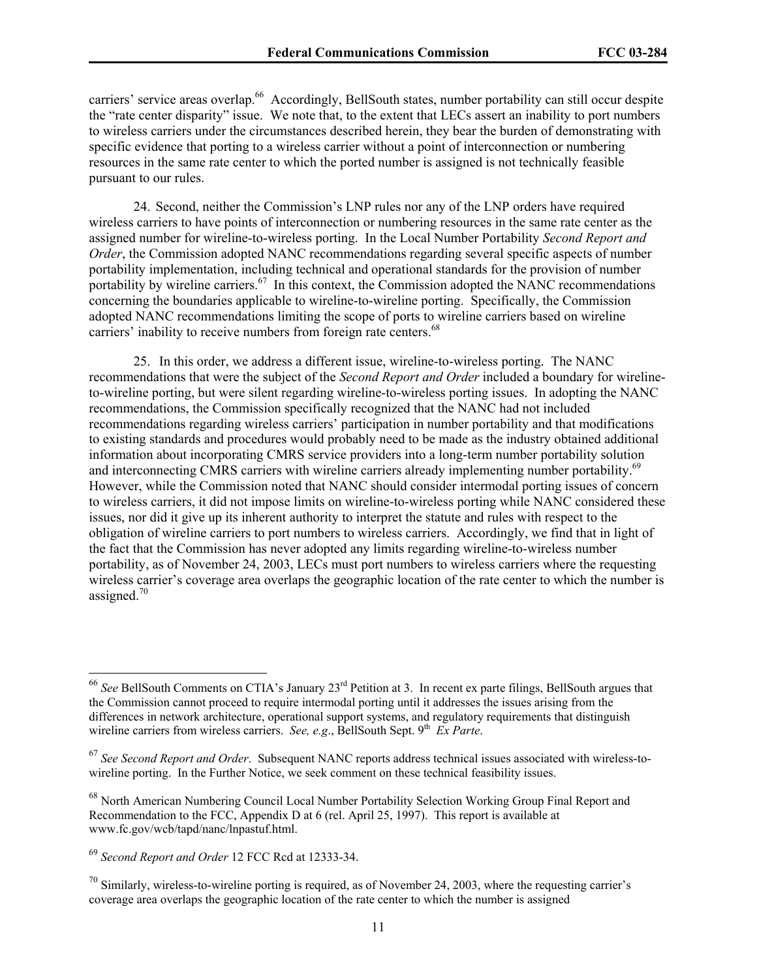1

carriers' service areas overlap.<sup>66</sup> Accordingly, BellSouth states, number portability can still occur despite the "rate center disparity" issue. We note that, to the extent that LECs assert an inability to port numbers to wireless carriers under the circumstances described herein, they bear the burden of demonstrating with specific evidence that porting to a wireless carrier without a point of interconnection or numbering resources in the same rate center to which the ported number is assigned is not technically feasible pursuant to our rules.

24. Second, neither the Commission's LNP rules nor any of the LNP orders have required wireless carriers to have points of interconnection or numbering resources in the same rate center as the assigned number for wireline-to-wireless porting. In the Local Number Portability *Second Report and Order*, the Commission adopted NANC recommendations regarding several specific aspects of number portability implementation, including technical and operational standards for the provision of number portability by wireline carriers.<sup>67</sup> In this context, the Commission adopted the NANC recommendations concerning the boundaries applicable to wireline-to-wireline porting. Specifically, the Commission adopted NANC recommendations limiting the scope of ports to wireline carriers based on wireline carriers' inability to receive numbers from foreign rate centers.<sup>68</sup>

25. In this order, we address a different issue, wireline-to-wireless porting. The NANC recommendations that were the subject of the *Second Report and Order* included a boundary for wirelineto-wireline porting, but were silent regarding wireline-to-wireless porting issues. In adopting the NANC recommendations, the Commission specifically recognized that the NANC had not included recommendations regarding wireless carriers' participation in number portability and that modifications to existing standards and procedures would probably need to be made as the industry obtained additional information about incorporating CMRS service providers into a long-term number portability solution and interconnecting CMRS carriers with wireline carriers already implementing number portability.<sup>69</sup> However, while the Commission noted that NANC should consider intermodal porting issues of concern to wireless carriers, it did not impose limits on wireline-to-wireless porting while NANC considered these issues, nor did it give up its inherent authority to interpret the statute and rules with respect to the obligation of wireline carriers to port numbers to wireless carriers. Accordingly, we find that in light of the fact that the Commission has never adopted any limits regarding wireline-to-wireless number portability, as of November 24, 2003, LECs must port numbers to wireless carriers where the requesting wireless carrier's coverage area overlaps the geographic location of the rate center to which the number is assigned. $70$ 

<sup>66</sup> *See* BellSouth Comments on CTIA's January 23rd Petition at 3. In recent ex parte filings, BellSouth argues that the Commission cannot proceed to require intermodal porting until it addresses the issues arising from the differences in network architecture, operational support systems, and regulatory requirements that distinguish wireline carriers from wireless carriers. *See, e.g.*, BellSouth Sept. 9<sup>th</sup> *Ex Parte*.

<sup>67</sup> *See Second Report and Order*. Subsequent NANC reports address technical issues associated with wireless-towireline porting. In the Further Notice, we seek comment on these technical feasibility issues.

<sup>&</sup>lt;sup>68</sup> North American Numbering Council Local Number Portability Selection Working Group Final Report and Recommendation to the FCC, Appendix D at 6 (rel. April 25, 1997). This report is available at www.fc.gov/wcb/tapd/nanc/lnpastuf.html.

<sup>69</sup> *Second Report and Order* 12 FCC Rcd at 12333-34.

 $^{70}$  Similarly, wireless-to-wireline porting is required, as of November 24, 2003, where the requesting carrier's coverage area overlaps the geographic location of the rate center to which the number is assigned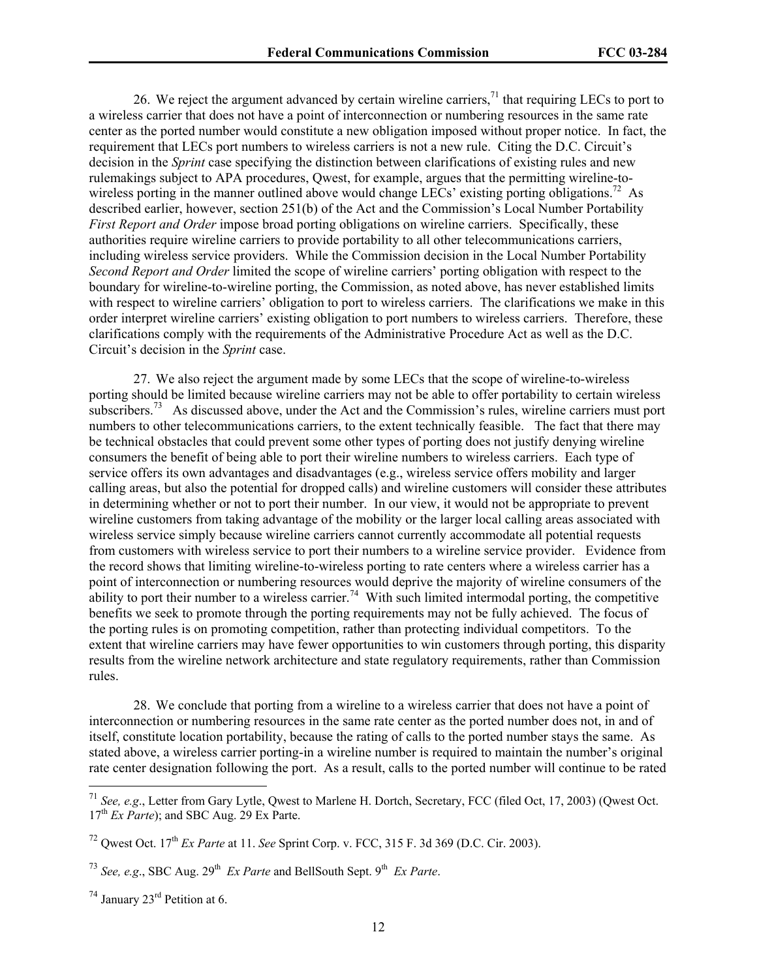26. We reject the argument advanced by certain wireline carriers,  $^{71}$  that requiring LECs to port to a wireless carrier that does not have a point of interconnection or numbering resources in the same rate center as the ported number would constitute a new obligation imposed without proper notice. In fact, the requirement that LECs port numbers to wireless carriers is not a new rule. Citing the D.C. Circuit's decision in the *Sprint* case specifying the distinction between clarifications of existing rules and new rulemakings subject to APA procedures, Qwest, for example, argues that the permitting wireline-towireless porting in the manner outlined above would change LECs' existing porting obligations.<sup>72</sup> As described earlier, however, section 251(b) of the Act and the Commission's Local Number Portability *First Report and Order* impose broad porting obligations on wireline carriers. Specifically, these authorities require wireline carriers to provide portability to all other telecommunications carriers, including wireless service providers. While the Commission decision in the Local Number Portability *Second Report and Order* limited the scope of wireline carriers' porting obligation with respect to the boundary for wireline-to-wireline porting, the Commission, as noted above, has never established limits with respect to wireline carriers' obligation to port to wireless carriers. The clarifications we make in this order interpret wireline carriers' existing obligation to port numbers to wireless carriers. Therefore, these clarifications comply with the requirements of the Administrative Procedure Act as well as the D.C. Circuit's decision in the *Sprint* case.

27. We also reject the argument made by some LECs that the scope of wireline-to-wireless porting should be limited because wireline carriers may not be able to offer portability to certain wireless subscribers.<sup>73</sup> As discussed above, under the Act and the Commission's rules, wireline carriers must port numbers to other telecommunications carriers, to the extent technically feasible. The fact that there may be technical obstacles that could prevent some other types of porting does not justify denying wireline consumers the benefit of being able to port their wireline numbers to wireless carriers. Each type of service offers its own advantages and disadvantages (e.g., wireless service offers mobility and larger calling areas, but also the potential for dropped calls) and wireline customers will consider these attributes in determining whether or not to port their number. In our view, it would not be appropriate to prevent wireline customers from taking advantage of the mobility or the larger local calling areas associated with wireless service simply because wireline carriers cannot currently accommodate all potential requests from customers with wireless service to port their numbers to a wireline service provider. Evidence from the record shows that limiting wireline-to-wireless porting to rate centers where a wireless carrier has a point of interconnection or numbering resources would deprive the majority of wireline consumers of the ability to port their number to a wireless carrier.<sup>74</sup> With such limited intermodal porting, the competitive benefits we seek to promote through the porting requirements may not be fully achieved. The focus of the porting rules is on promoting competition, rather than protecting individual competitors. To the extent that wireline carriers may have fewer opportunities to win customers through porting, this disparity results from the wireline network architecture and state regulatory requirements, rather than Commission rules.

28. We conclude that porting from a wireline to a wireless carrier that does not have a point of interconnection or numbering resources in the same rate center as the ported number does not, in and of itself, constitute location portability, because the rating of calls to the ported number stays the same. As stated above, a wireless carrier porting-in a wireline number is required to maintain the number's original rate center designation following the port. As a result, calls to the ported number will continue to be rated

l

<sup>71</sup> *See, e.g*., Letter from Gary Lytle, Qwest to Marlene H. Dortch, Secretary, FCC (filed Oct, 17, 2003) (Qwest Oct. 17th *Ex Parte*); and SBC Aug. 29 Ex Parte.

<sup>72</sup> Qwest Oct. 17th *Ex Parte* at 11. *See* Sprint Corp. v. FCC, 315 F. 3d 369 (D.C. Cir. 2003).

<sup>&</sup>lt;sup>73</sup> *See, e.g., SBC Aug. 29<sup>th</sup> <i>Ex Parte* and BellSouth Sept. 9<sup>th</sup> *Ex Parte.* 

 $74$  January  $23<sup>rd</sup>$  Petition at 6.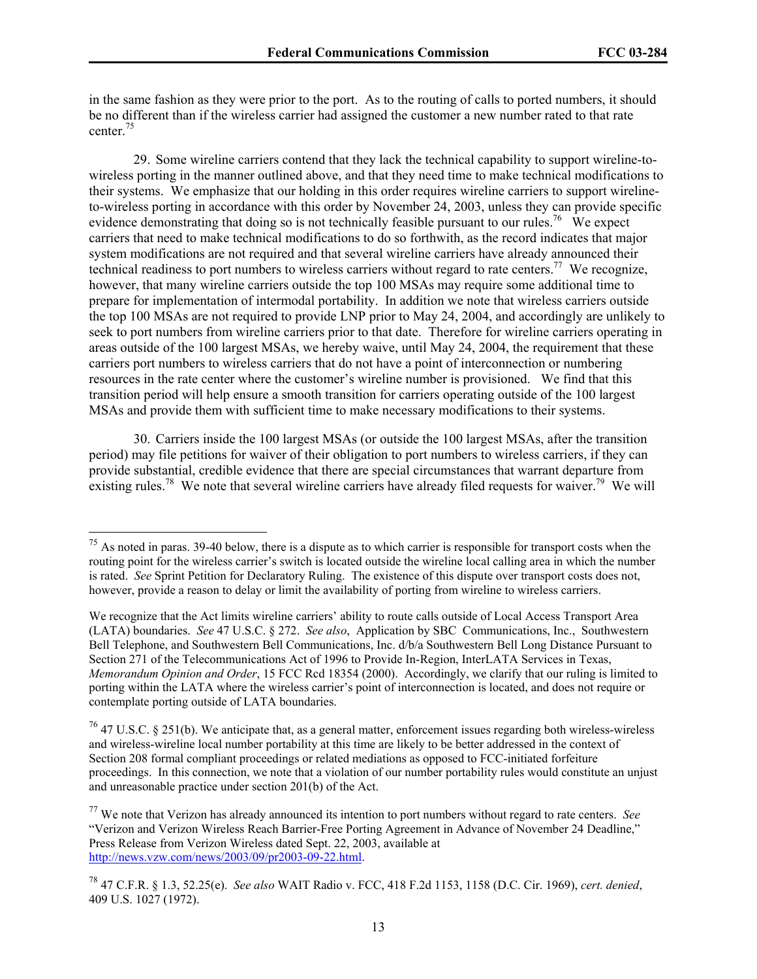$\overline{\phantom{a}}$ 

in the same fashion as they were prior to the port. As to the routing of calls to ported numbers, it should be no different than if the wireless carrier had assigned the customer a new number rated to that rate center.75

29. Some wireline carriers contend that they lack the technical capability to support wireline-towireless porting in the manner outlined above, and that they need time to make technical modifications to their systems. We emphasize that our holding in this order requires wireline carriers to support wirelineto-wireless porting in accordance with this order by November 24, 2003, unless they can provide specific evidence demonstrating that doing so is not technically feasible pursuant to our rules.<sup>76</sup> We expect carriers that need to make technical modifications to do so forthwith, as the record indicates that major system modifications are not required and that several wireline carriers have already announced their technical readiness to port numbers to wireless carriers without regard to rate centers.<sup>77</sup> We recognize, however, that many wireline carriers outside the top 100 MSAs may require some additional time to prepare for implementation of intermodal portability. In addition we note that wireless carriers outside the top 100 MSAs are not required to provide LNP prior to May 24, 2004, and accordingly are unlikely to seek to port numbers from wireline carriers prior to that date.Therefore for wireline carriers operating in areas outside of the 100 largest MSAs, we hereby waive, until May 24, 2004, the requirement that these carriers port numbers to wireless carriers that do not have a point of interconnection or numbering resources in the rate center where the customer's wireline number is provisioned. We find that this transition period will help ensure a smooth transition for carriers operating outside of the 100 largest MSAs and provide them with sufficient time to make necessary modifications to their systems.

30. Carriers inside the 100 largest MSAs (or outside the 100 largest MSAs, after the transition period) may file petitions for waiver of their obligation to port numbers to wireless carriers, if they can provide substantial, credible evidence that there are special circumstances that warrant departure from existing rules.<sup>78</sup> We note that several wireline carriers have already filed requests for waiver.<sup>79</sup> We will

 $75$  As noted in paras. 39-40 below, there is a dispute as to which carrier is responsible for transport costs when the routing point for the wireless carrier's switch is located outside the wireline local calling area in which the number is rated. *See* Sprint Petition for Declaratory Ruling. The existence of this dispute over transport costs does not, however, provide a reason to delay or limit the availability of porting from wireline to wireless carriers.

We recognize that the Act limits wireline carriers' ability to route calls outside of Local Access Transport Area (LATA) boundaries. *See* 47 U.S.C. § 272. *See also*, Application by SBC Communications, Inc., Southwestern Bell Telephone, and Southwestern Bell Communications, Inc. d/b/a Southwestern Bell Long Distance Pursuant to Section 271 of the Telecommunications Act of 1996 to Provide In-Region, InterLATA Services in Texas, *Memorandum Opinion and Order*, 15 FCC Rcd 18354 (2000). Accordingly, we clarify that our ruling is limited to porting within the LATA where the wireless carrier's point of interconnection is located, and does not require or contemplate porting outside of LATA boundaries.

 $76$  47 U.S.C. § 251(b). We anticipate that, as a general matter, enforcement issues regarding both wireless-wireless and wireless-wireline local number portability at this time are likely to be better addressed in the context of Section 208 formal compliant proceedings or related mediations as opposed to FCC-initiated forfeiture proceedings. In this connection, we note that a violation of our number portability rules would constitute an unjust and unreasonable practice under section 201(b) of the Act.

<sup>77</sup> We note that Verizon has already announced its intention to port numbers without regard to rate centers. *See* "Verizon and Verizon Wireless Reach Barrier-Free Porting Agreement in Advance of November 24 Deadline," Press Release from Verizon Wireless dated Sept. 22, 2003, available at http://news.vzw.com/news/2003/09/pr2003-09-22.html.

<sup>78 47</sup> C.F.R. § 1.3, 52.25(e). *See also* WAIT Radio v. FCC, 418 F.2d 1153, 1158 (D.C. Cir. 1969), *cert. denied*, 409 U.S. 1027 (1972).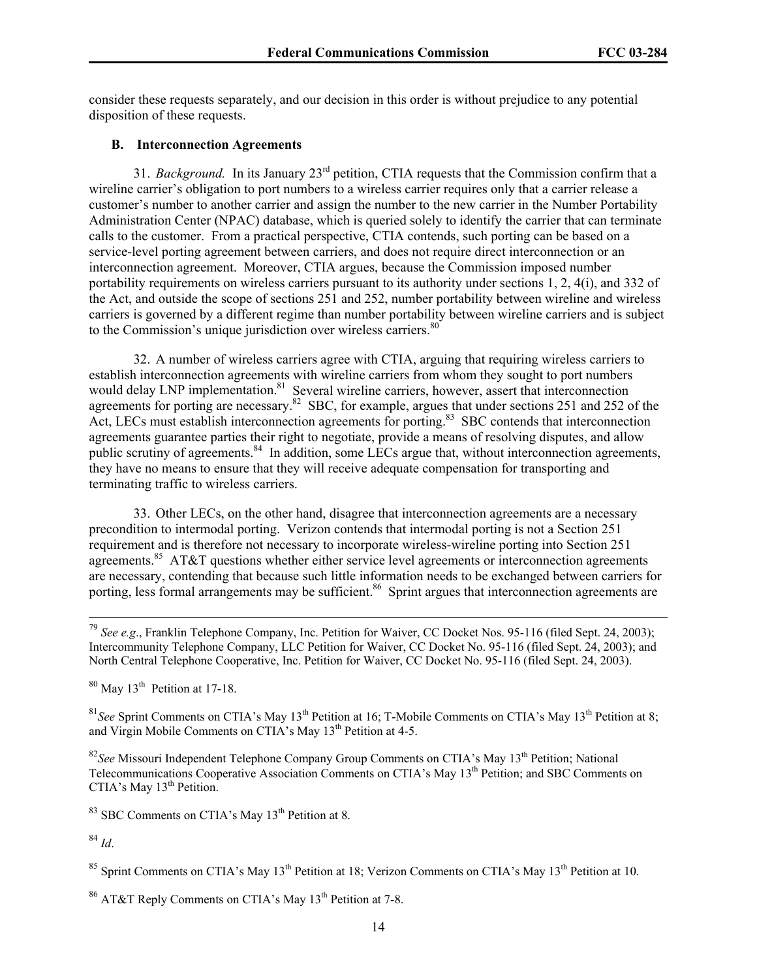consider these requests separately, and our decision in this order is without prejudice to any potential disposition of these requests.

## **B. Interconnection Agreements**

31. *Background.* In its January 23rd petition, CTIA requests that the Commission confirm that a wireline carrier's obligation to port numbers to a wireless carrier requires only that a carrier release a customer's number to another carrier and assign the number to the new carrier in the Number Portability Administration Center (NPAC) database, which is queried solely to identify the carrier that can terminate calls to the customer. From a practical perspective, CTIA contends, such porting can be based on a service-level porting agreement between carriers, and does not require direct interconnection or an interconnection agreement. Moreover, CTIA argues, because the Commission imposed number portability requirements on wireless carriers pursuant to its authority under sections 1, 2, 4(i), and 332 of the Act, and outside the scope of sections 251 and 252, number portability between wireline and wireless carriers is governed by a different regime than number portability between wireline carriers and is subject to the Commission's unique jurisdiction over wireless carriers. $80^\circ$ 

32. A number of wireless carriers agree with CTIA, arguing that requiring wireless carriers to establish interconnection agreements with wireline carriers from whom they sought to port numbers would delay LNP implementation.<sup>81</sup> Several wireline carriers, however, assert that interconnection agreements for porting are necessary.<sup>82</sup> SBC, for example, argues that under sections 251 and 252 of the Act, LECs must establish interconnection agreements for porting.<sup>83</sup> SBC contends that interconnection agreements guarantee parties their right to negotiate, provide a means of resolving disputes, and allow public scrutiny of agreements.<sup>84</sup> In addition, some LECs argue that, without interconnection agreements, they have no means to ensure that they will receive adequate compensation for transporting and terminating traffic to wireless carriers.

33. Other LECs, on the other hand, disagree that interconnection agreements are a necessary precondition to intermodal porting. Verizon contends that intermodal porting is not a Section 251 requirement and is therefore not necessary to incorporate wireless-wireline porting into Section 251 agreements.<sup>85</sup> AT&T questions whether either service level agreements or interconnection agreements are necessary, contending that because such little information needs to be exchanged between carriers for porting, less formal arrangements may be sufficient.<sup>86</sup> Sprint argues that interconnection agreements are

 $80$  May 13<sup>th</sup> Petition at 17-18.

<sup>81</sup> See Sprint Comments on CTIA's May 13<sup>th</sup> Petition at 16; T-Mobile Comments on CTIA's May 13<sup>th</sup> Petition at 8; and Virgin Mobile Comments on CTIA's May 13<sup>th</sup> Petition at 4-5.

<sup>82</sup>See Missouri Independent Telephone Company Group Comments on CTIA's May 13<sup>th</sup> Petition; National Telecommunications Cooperative Association Comments on CTIA's May 13<sup>th</sup> Petition; and SBC Comments on CTIA's May  $13<sup>th</sup>$  Petition.

 $83$  SBC Comments on CTIA's May  $13<sup>th</sup>$  Petition at 8.

<sup>84</sup> *Id*.

<sup>85</sup> Sprint Comments on CTIA's May 13<sup>th</sup> Petition at 18; Verizon Comments on CTIA's May 13<sup>th</sup> Petition at 10.

<sup>86</sup> AT&T Reply Comments on CTIA's May 13<sup>th</sup> Petition at 7-8.

 <sup>79</sup> *See e.g*., Franklin Telephone Company, Inc. Petition for Waiver, CC Docket Nos. 95-116 (filed Sept. 24, 2003); Intercommunity Telephone Company, LLC Petition for Waiver, CC Docket No. 95-116 (filed Sept. 24, 2003); and North Central Telephone Cooperative, Inc. Petition for Waiver, CC Docket No. 95-116 (filed Sept. 24, 2003).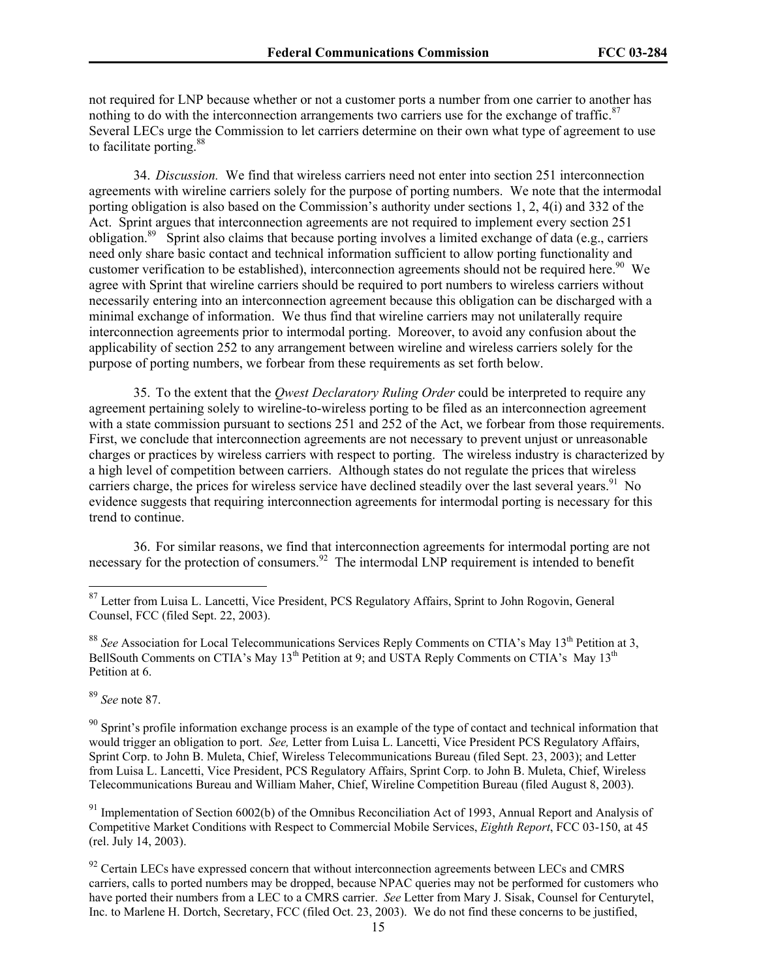not required for LNP because whether or not a customer ports a number from one carrier to another has nothing to do with the interconnection arrangements two carriers use for the exchange of traffic.<sup>87</sup> Several LECs urge the Commission to let carriers determine on their own what type of agreement to use to facilitate porting.88

34. *Discussion.* We find that wireless carriers need not enter into section 251 interconnection agreements with wireline carriers solely for the purpose of porting numbers. We note that the intermodal porting obligation is also based on the Commission's authority under sections 1, 2, 4(i) and 332 of the Act. Sprint argues that interconnection agreements are not required to implement every section 251 obligation.89 Sprint also claims that because porting involves a limited exchange of data (e.g., carriers need only share basic contact and technical information sufficient to allow porting functionality and customer verification to be established), interconnection agreements should not be required here.<sup>90</sup> We agree with Sprint that wireline carriers should be required to port numbers to wireless carriers without necessarily entering into an interconnection agreement because this obligation can be discharged with a minimal exchange of information. We thus find that wireline carriers may not unilaterally require interconnection agreements prior to intermodal porting. Moreover, to avoid any confusion about the applicability of section 252 to any arrangement between wireline and wireless carriers solely for the purpose of porting numbers, we forbear from these requirements as set forth below.

35. To the extent that the *Qwest Declaratory Ruling Order* could be interpreted to require any agreement pertaining solely to wireline-to-wireless porting to be filed as an interconnection agreement with a state commission pursuant to sections 251 and 252 of the Act, we forbear from those requirements. First, we conclude that interconnection agreements are not necessary to prevent unjust or unreasonable charges or practices by wireless carriers with respect to porting. The wireless industry is characterized by a high level of competition between carriers. Although states do not regulate the prices that wireless carriers charge, the prices for wireless service have declined steadily over the last several years.<sup>91</sup> No evidence suggests that requiring interconnection agreements for intermodal porting is necessary for this trend to continue.

36. For similar reasons, we find that interconnection agreements for intermodal porting are not necessary for the protection of consumers.<sup>92</sup> The intermodal LNP requirement is intended to benefit

<sup>88</sup> See Association for Local Telecommunications Services Reply Comments on CTIA's May 13<sup>th</sup> Petition at 3, BellSouth Comments on CTIA's May  $13<sup>th</sup>$  Petition at 9; and USTA Reply Comments on CTIA's May  $13<sup>th</sup>$ Petition at 6.

<sup>89</sup> *See* note 87.

l

 $90$  Sprint's profile information exchange process is an example of the type of contact and technical information that would trigger an obligation to port. *See,* Letter from Luisa L. Lancetti, Vice President PCS Regulatory Affairs, Sprint Corp. to John B. Muleta, Chief, Wireless Telecommunications Bureau (filed Sept. 23, 2003); and Letter from Luisa L. Lancetti, Vice President, PCS Regulatory Affairs, Sprint Corp. to John B. Muleta, Chief, Wireless Telecommunications Bureau and William Maher, Chief, Wireline Competition Bureau (filed August 8, 2003).

<sup>91</sup> Implementation of Section 6002(b) of the Omnibus Reconciliation Act of 1993, Annual Report and Analysis of Competitive Market Conditions with Respect to Commercial Mobile Services, *Eighth Report*, FCC 03-150, at 45 (rel. July 14, 2003).

<sup>&</sup>lt;sup>87</sup> Letter from Luisa L. Lancetti, Vice President, PCS Regulatory Affairs, Sprint to John Rogovin, General Counsel, FCC (filed Sept. 22, 2003).

 $92$  Certain LECs have expressed concern that without interconnection agreements between LECs and CMRS carriers, calls to ported numbers may be dropped, because NPAC queries may not be performed for customers who have ported their numbers from a LEC to a CMRS carrier. *See* Letter from Mary J. Sisak, Counsel for Centurytel, Inc. to Marlene H. Dortch, Secretary, FCC (filed Oct. 23, 2003). We do not find these concerns to be justified,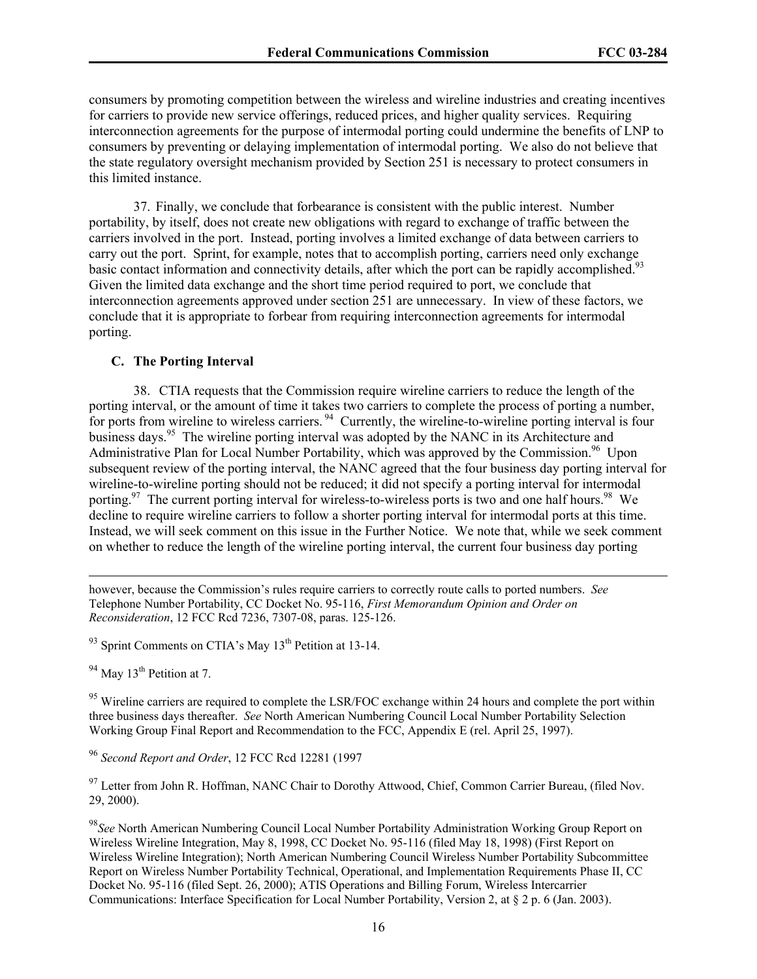consumers by promoting competition between the wireless and wireline industries and creating incentives for carriers to provide new service offerings, reduced prices, and higher quality services. Requiring interconnection agreements for the purpose of intermodal porting could undermine the benefits of LNP to consumers by preventing or delaying implementation of intermodal porting. We also do not believe that the state regulatory oversight mechanism provided by Section 251 is necessary to protect consumers in this limited instance.

37. Finally, we conclude that forbearance is consistent with the public interest. Number portability, by itself, does not create new obligations with regard to exchange of traffic between the carriers involved in the port. Instead, porting involves a limited exchange of data between carriers to carry out the port. Sprint, for example, notes that to accomplish porting, carriers need only exchange basic contact information and connectivity details, after which the port can be rapidly accomplished.<sup>93</sup> Given the limited data exchange and the short time period required to port, we conclude that interconnection agreements approved under section 251 are unnecessary. In view of these factors, we conclude that it is appropriate to forbear from requiring interconnection agreements for intermodal porting.

#### **C. The Porting Interval**

38. CTIA requests that the Commission require wireline carriers to reduce the length of the porting interval, or the amount of time it takes two carriers to complete the process of porting a number, for ports from wireline to wireless carriers. <sup>94</sup> Currently, the wireline-to-wireline porting interval is four business days.<sup>95</sup> The wireline porting interval was adopted by the NANC in its Architecture and Administrative Plan for Local Number Portability, which was approved by the Commission.<sup>96</sup> Upon subsequent review of the porting interval, the NANC agreed that the four business day porting interval for wireline-to-wireline porting should not be reduced; it did not specify a porting interval for intermodal porting.<sup>97</sup> The current porting interval for wireless-to-wireless ports is two and one half hours.<sup>98</sup> We decline to require wireline carriers to follow a shorter porting interval for intermodal ports at this time. Instead, we will seek comment on this issue in the Further Notice. We note that, while we seek comment on whether to reduce the length of the wireline porting interval, the current four business day porting

however, because the Commission's rules require carriers to correctly route calls to ported numbers. *See* Telephone Number Portability, CC Docket No. 95-116, *First Memorandum Opinion and Order on Reconsideration*, 12 FCC Rcd 7236, 7307-08, paras. 125-126.

 $93$  Sprint Comments on CTIA's May 13<sup>th</sup> Petition at 13-14.

 $94$  May 13<sup>th</sup> Petition at 7.

1

<sup>95</sup> Wireline carriers are required to complete the LSR/FOC exchange within 24 hours and complete the port within three business days thereafter. *See* North American Numbering Council Local Number Portability Selection Working Group Final Report and Recommendation to the FCC, Appendix E (rel. April 25, 1997).

<sup>96</sup> *Second Report and Order*, 12 FCC Rcd 12281 (1997

<sup>97</sup> Letter from John R. Hoffman, NANC Chair to Dorothy Attwood, Chief, Common Carrier Bureau, (filed Nov. 29, 2000).

<sup>98</sup>*See* North American Numbering Council Local Number Portability Administration Working Group Report on Wireless Wireline Integration, May 8, 1998, CC Docket No. 95-116 (filed May 18, 1998) (First Report on Wireless Wireline Integration); North American Numbering Council Wireless Number Portability Subcommittee Report on Wireless Number Portability Technical, Operational, and Implementation Requirements Phase II, CC Docket No. 95-116 (filed Sept. 26, 2000); ATIS Operations and Billing Forum, Wireless Intercarrier Communications: Interface Specification for Local Number Portability, Version 2, at § 2 p. 6 (Jan. 2003).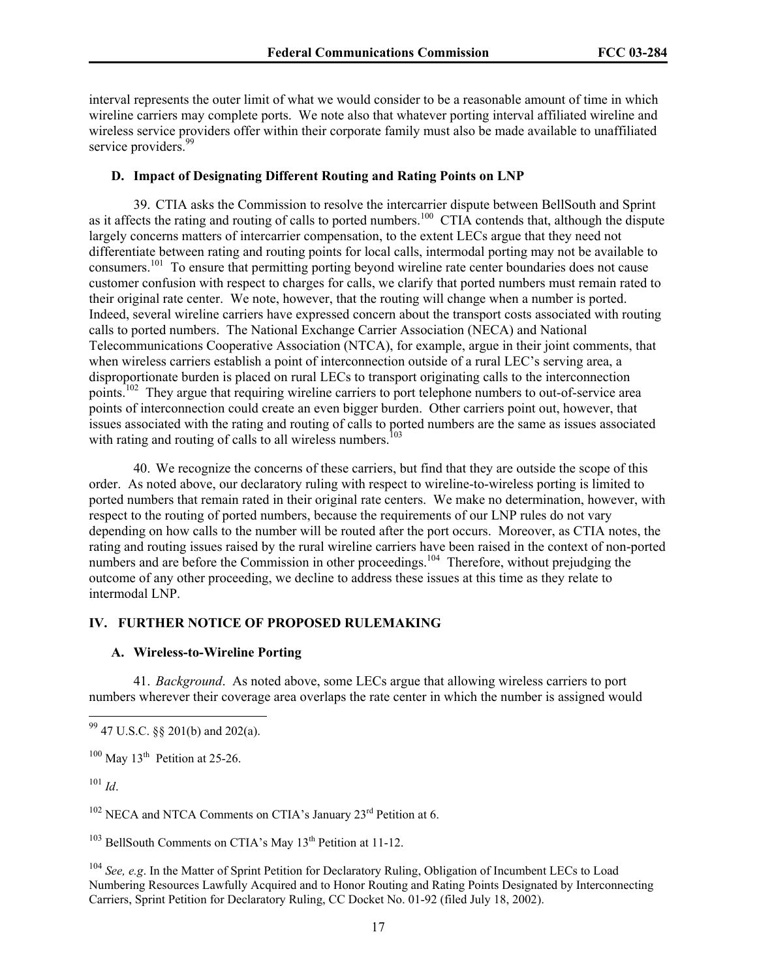interval represents the outer limit of what we would consider to be a reasonable amount of time in which wireline carriers may complete ports. We note also that whatever porting interval affiliated wireline and wireless service providers offer within their corporate family must also be made available to unaffiliated service providers.<sup>99</sup>

## **D. Impact of Designating Different Routing and Rating Points on LNP**

39. CTIA asks the Commission to resolve the intercarrier dispute between BellSouth and Sprint as it affects the rating and routing of calls to ported numbers.<sup>100</sup> CTIA contends that, although the dispute largely concerns matters of intercarrier compensation, to the extent LECs argue that they need not differentiate between rating and routing points for local calls, intermodal porting may not be available to consumers.101 To ensure that permitting porting beyond wireline rate center boundaries does not cause customer confusion with respect to charges for calls, we clarify that ported numbers must remain rated to their original rate center. We note, however, that the routing will change when a number is ported. Indeed, several wireline carriers have expressed concern about the transport costs associated with routing calls to ported numbers. The National Exchange Carrier Association (NECA) and National Telecommunications Cooperative Association (NTCA), for example, argue in their joint comments, that when wireless carriers establish a point of interconnection outside of a rural LEC's serving area, a disproportionate burden is placed on rural LECs to transport originating calls to the interconnection points.<sup>102</sup> They argue that requiring wireline carriers to port telephone numbers to out-of-service area points of interconnection could create an even bigger burden. Other carriers point out, however, that issues associated with the rating and routing of calls to ported numbers are the same as issues associated with rating and routing of calls to all wireless numbers.<sup>103</sup>

40. We recognize the concerns of these carriers, but find that they are outside the scope of this order. As noted above, our declaratory ruling with respect to wireline-to-wireless porting is limited to ported numbers that remain rated in their original rate centers. We make no determination, however, with respect to the routing of ported numbers, because the requirements of our LNP rules do not vary depending on how calls to the number will be routed after the port occurs. Moreover, as CTIA notes, the rating and routing issues raised by the rural wireline carriers have been raised in the context of non-ported numbers and are before the Commission in other proceedings.<sup>104</sup> Therefore, without prejudging the outcome of any other proceeding, we decline to address these issues at this time as they relate to intermodal LNP.

## **IV. FURTHER NOTICE OF PROPOSED RULEMAKING**

## **A. Wireless-to-Wireline Porting**

41. *Background*. As noted above, some LECs argue that allowing wireless carriers to port numbers wherever their coverage area overlaps the rate center in which the number is assigned would

<sup>101</sup> *Id*.

1

 $102$  NECA and NTCA Comments on CTIA's January  $23<sup>rd</sup>$  Petition at 6.

 $103$  BellSouth Comments on CTIA's May 13<sup>th</sup> Petition at 11-12.

<sup>104</sup> *See, e.g*. In the Matter of Sprint Petition for Declaratory Ruling, Obligation of Incumbent LECs to Load Numbering Resources Lawfully Acquired and to Honor Routing and Rating Points Designated by Interconnecting Carriers, Sprint Petition for Declaratory Ruling, CC Docket No. 01-92 (filed July 18, 2002).

 $^{99}$  47 U.S.C. §§ 201(b) and 202(a).

 $100$  May 13<sup>th</sup> Petition at 25-26.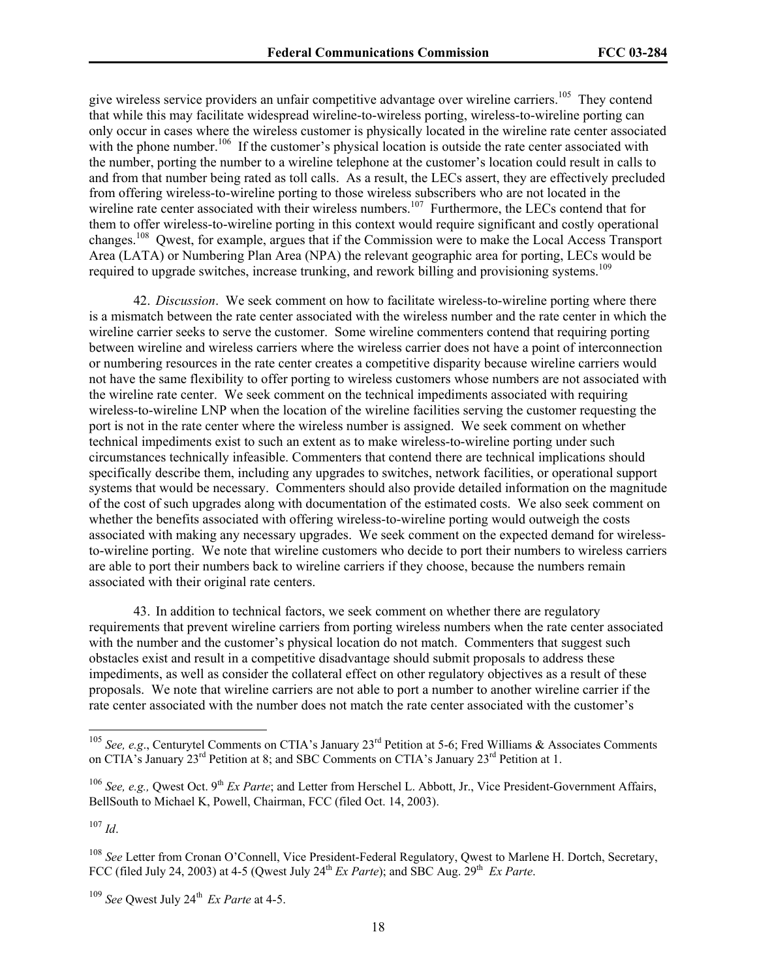give wireless service providers an unfair competitive advantage over wireline carriers.<sup>105</sup> They contend that while this may facilitate widespread wireline-to-wireless porting, wireless-to-wireline porting can only occur in cases where the wireless customer is physically located in the wireline rate center associated with the phone number.<sup>106</sup> If the customer's physical location is outside the rate center associated with the number, porting the number to a wireline telephone at the customer's location could result in calls to and from that number being rated as toll calls. As a result, the LECs assert, they are effectively precluded from offering wireless-to-wireline porting to those wireless subscribers who are not located in the wireline rate center associated with their wireless numbers.<sup>107</sup> Furthermore, the LECs contend that for them to offer wireless-to-wireline porting in this context would require significant and costly operational changes.108 Qwest, for example, argues that if the Commission were to make the Local Access Transport Area (LATA) or Numbering Plan Area (NPA) the relevant geographic area for porting, LECs would be required to upgrade switches, increase trunking, and rework billing and provisioning systems.<sup>109</sup>

42. *Discussion*. We seek comment on how to facilitate wireless-to-wireline porting where there is a mismatch between the rate center associated with the wireless number and the rate center in which the wireline carrier seeks to serve the customer. Some wireline commenters contend that requiring porting between wireline and wireless carriers where the wireless carrier does not have a point of interconnection or numbering resources in the rate center creates a competitive disparity because wireline carriers would not have the same flexibility to offer porting to wireless customers whose numbers are not associated with the wireline rate center. We seek comment on the technical impediments associated with requiring wireless-to-wireline LNP when the location of the wireline facilities serving the customer requesting the port is not in the rate center where the wireless number is assigned. We seek comment on whether technical impediments exist to such an extent as to make wireless-to-wireline porting under such circumstances technically infeasible. Commenters that contend there are technical implications should specifically describe them, including any upgrades to switches, network facilities, or operational support systems that would be necessary. Commenters should also provide detailed information on the magnitude of the cost of such upgrades along with documentation of the estimated costs. We also seek comment on whether the benefits associated with offering wireless-to-wireline porting would outweigh the costs associated with making any necessary upgrades. We seek comment on the expected demand for wirelessto-wireline porting. We note that wireline customers who decide to port their numbers to wireless carriers are able to port their numbers back to wireline carriers if they choose, because the numbers remain associated with their original rate centers.

43. In addition to technical factors, we seek comment on whether there are regulatory requirements that prevent wireline carriers from porting wireless numbers when the rate center associated with the number and the customer's physical location do not match. Commenters that suggest such obstacles exist and result in a competitive disadvantage should submit proposals to address these impediments, as well as consider the collateral effect on other regulatory objectives as a result of these proposals. We note that wireline carriers are not able to port a number to another wireline carrier if the rate center associated with the number does not match the rate center associated with the customer's

<sup>107</sup> *Id*.

1

<sup>&</sup>lt;sup>105</sup> *See, e.g.*, Centurytel Comments on CTIA's January 23<sup>rd</sup> Petition at 5-6; Fred Williams & Associates Comments on CTIA's January 23<sup>rd</sup> Petition at 8; and SBC Comments on CTIA's January 23<sup>rd</sup> Petition at 1.

<sup>&</sup>lt;sup>106</sup> *See, e.g.,* Qwest Oct. 9<sup>th</sup> *Ex Parte*; and Letter from Herschel L. Abbott, Jr., Vice President-Government Affairs, BellSouth to Michael K, Powell, Chairman, FCC (filed Oct. 14, 2003).

<sup>108</sup> *See* Letter from Cronan O'Connell, Vice President-Federal Regulatory, Qwest to Marlene H. Dortch, Secretary, FCC (filed July 24, 2003) at 4-5 (Owest July 24<sup>th</sup> *Ex Parte*); and SBC Aug. 29<sup>th</sup> *Ex Parte*.

<sup>&</sup>lt;sup>109</sup> See Owest July 24<sup>th</sup> *Ex Parte* at 4-5.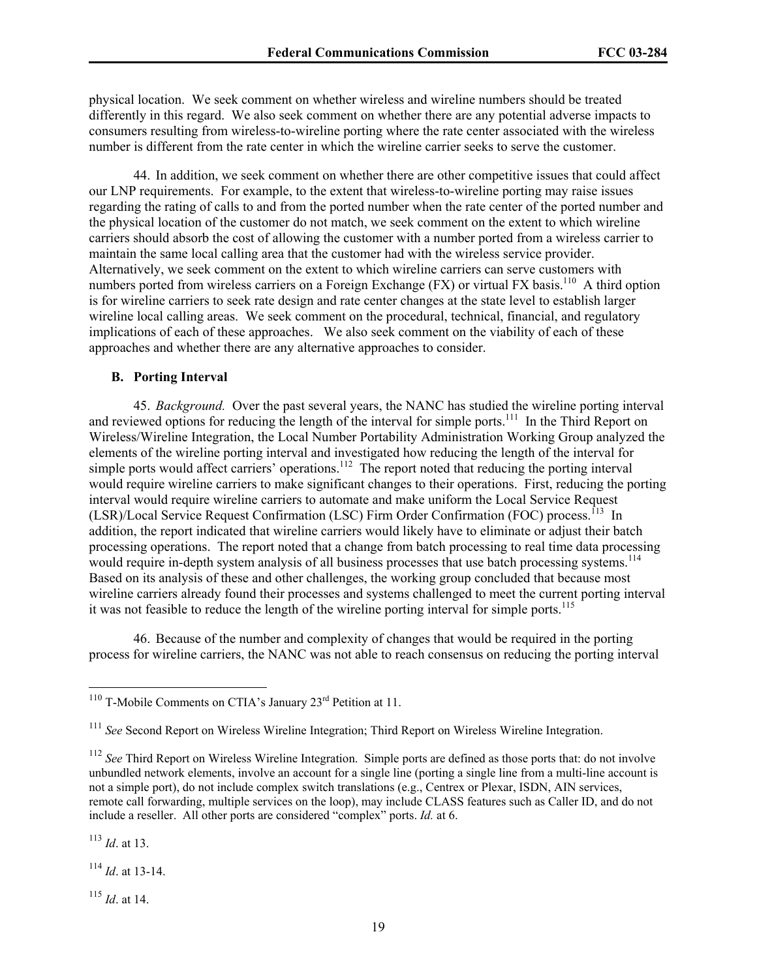physical location. We seek comment on whether wireless and wireline numbers should be treated differently in this regard. We also seek comment on whether there are any potential adverse impacts to consumers resulting from wireless-to-wireline porting where the rate center associated with the wireless number is different from the rate center in which the wireline carrier seeks to serve the customer.

44. In addition, we seek comment on whether there are other competitive issues that could affect our LNP requirements. For example, to the extent that wireless-to-wireline porting may raise issues regarding the rating of calls to and from the ported number when the rate center of the ported number and the physical location of the customer do not match, we seek comment on the extent to which wireline carriers should absorb the cost of allowing the customer with a number ported from a wireless carrier to maintain the same local calling area that the customer had with the wireless service provider. Alternatively, we seek comment on the extent to which wireline carriers can serve customers with numbers ported from wireless carriers on a Foreign Exchange (FX) or virtual FX basis.<sup>110</sup> A third option is for wireline carriers to seek rate design and rate center changes at the state level to establish larger wireline local calling areas. We seek comment on the procedural, technical, financial, and regulatory implications of each of these approaches. We also seek comment on the viability of each of these approaches and whether there are any alternative approaches to consider.

## **B. Porting Interval**

45. *Background.* Over the past several years, the NANC has studied the wireline porting interval and reviewed options for reducing the length of the interval for simple ports.<sup>111</sup> In the Third Report on Wireless/Wireline Integration, the Local Number Portability Administration Working Group analyzed the elements of the wireline porting interval and investigated how reducing the length of the interval for simple ports would affect carriers' operations.<sup>112</sup> The report noted that reducing the porting interval would require wireline carriers to make significant changes to their operations. First, reducing the porting interval would require wireline carriers to automate and make uniform the Local Service Request (LSR)/Local Service Request Confirmation (LSC) Firm Order Confirmation (FOC) process.<sup>113</sup> In addition, the report indicated that wireline carriers would likely have to eliminate or adjust their batch processing operations. The report noted that a change from batch processing to real time data processing would require in-depth system analysis of all business processes that use batch processing systems.<sup>114</sup> Based on its analysis of these and other challenges, the working group concluded that because most wireline carriers already found their processes and systems challenged to meet the current porting interval it was not feasible to reduce the length of the wireline porting interval for simple ports.<sup>115</sup>

46. Because of the number and complexity of changes that would be required in the porting process for wireline carriers, the NANC was not able to reach consensus on reducing the porting interval

<sup>113</sup> *Id*. at 13.

 $\overline{\phantom{a}}$ 

<sup>114</sup> *Id*. at 13-14.

<sup>115</sup> *Id*. at 14.

<sup>&</sup>lt;sup>110</sup> T-Mobile Comments on CTIA's January  $23<sup>rd</sup>$  Petition at 11.

<sup>&</sup>lt;sup>111</sup> See Second Report on Wireless Wireline Integration; Third Report on Wireless Wireline Integration.

<sup>&</sup>lt;sup>112</sup> See Third Report on Wireless Wireline Integration. Simple ports are defined as those ports that: do not involve unbundled network elements, involve an account for a single line (porting a single line from a multi-line account is not a simple port), do not include complex switch translations (e.g., Centrex or Plexar, ISDN, AIN services, remote call forwarding, multiple services on the loop), may include CLASS features such as Caller ID, and do not include a reseller. All other ports are considered "complex" ports. *Id.* at 6.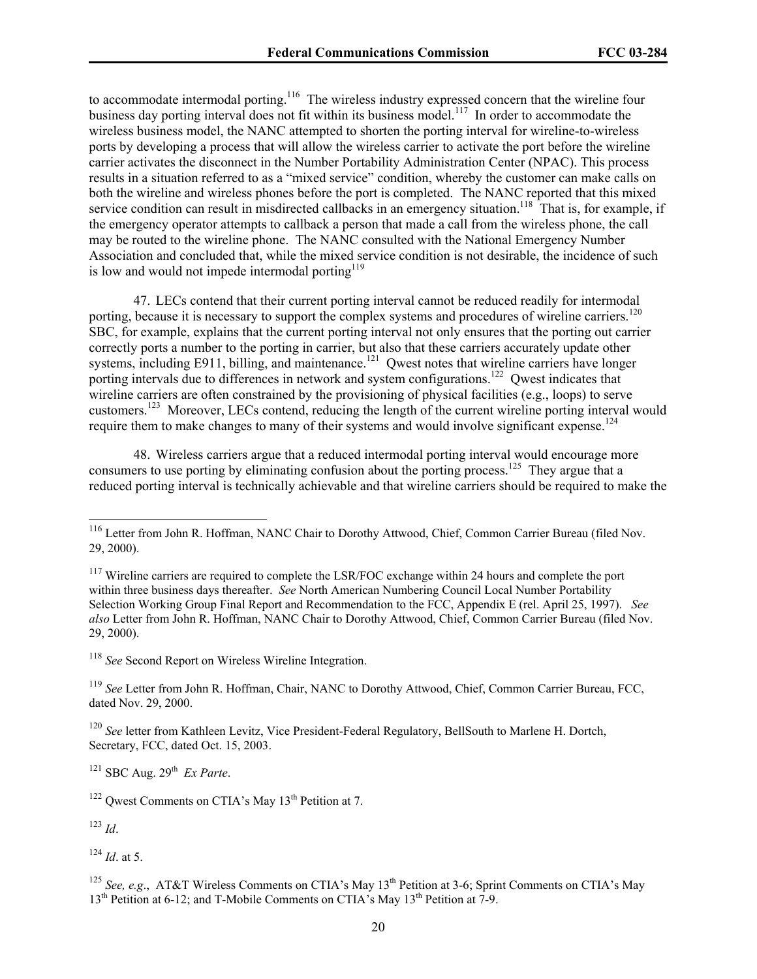to accommodate intermodal porting.<sup>116</sup> The wireless industry expressed concern that the wireline four business day porting interval does not fit within its business model.<sup>117</sup> In order to accommodate the wireless business model, the NANC attempted to shorten the porting interval for wireline-to-wireless ports by developing a process that will allow the wireless carrier to activate the port before the wireline carrier activates the disconnect in the Number Portability Administration Center (NPAC). This process results in a situation referred to as a "mixed service" condition, whereby the customer can make calls on both the wireline and wireless phones before the port is completed. The NANC reported that this mixed service condition can result in misdirected callbacks in an emergency situation.<sup>118</sup> That is, for example, if the emergency operator attempts to callback a person that made a call from the wireless phone, the call may be routed to the wireline phone. The NANC consulted with the National Emergency Number Association and concluded that, while the mixed service condition is not desirable, the incidence of such is low and would not impede intermodal porting $119$ 

47. LECs contend that their current porting interval cannot be reduced readily for intermodal porting, because it is necessary to support the complex systems and procedures of wireline carriers.<sup>120</sup> SBC, for example, explains that the current porting interval not only ensures that the porting out carrier correctly ports a number to the porting in carrier, but also that these carriers accurately update other systems, including E911, billing, and maintenance.<sup>121</sup> Qwest notes that wireline carriers have longer porting intervals due to differences in network and system configurations.<sup>122</sup> Qwest indicates that wireline carriers are often constrained by the provisioning of physical facilities (e.g., loops) to serve customers.123 Moreover, LECs contend, reducing the length of the current wireline porting interval would require them to make changes to many of their systems and would involve significant expense.<sup>124</sup>

48. Wireless carriers argue that a reduced intermodal porting interval would encourage more consumers to use porting by eliminating confusion about the porting process.<sup>125</sup> They argue that a reduced porting interval is technically achievable and that wireline carriers should be required to make the

<sup>120</sup> *See* letter from Kathleen Levitz, Vice President-Federal Regulatory, BellSouth to Marlene H. Dortch, Secretary, FCC, dated Oct. 15, 2003.

 $121$  SBC Aug.  $29<sup>th</sup>$  *Ex Parte.* 

<sup>123</sup> *Id*.

l

<sup>124</sup> *Id*. at 5.

<sup>&</sup>lt;sup>116</sup> Letter from John R. Hoffman, NANC Chair to Dorothy Attwood, Chief, Common Carrier Bureau (filed Nov. 29, 2000).

<sup>&</sup>lt;sup>117</sup> Wireline carriers are required to complete the LSR/FOC exchange within 24 hours and complete the port within three business days thereafter. *See* North American Numbering Council Local Number Portability Selection Working Group Final Report and Recommendation to the FCC, Appendix E (rel. April 25, 1997). *See also* Letter from John R. Hoffman, NANC Chair to Dorothy Attwood, Chief, Common Carrier Bureau (filed Nov. 29, 2000).

<sup>118</sup> *See* Second Report on Wireless Wireline Integration.

<sup>119</sup> *See* Letter from John R. Hoffman, Chair, NANC to Dorothy Attwood, Chief, Common Carrier Bureau, FCC, dated Nov. 29, 2000.

 $122$  Qwest Comments on CTIA's May 13<sup>th</sup> Petition at 7.

<sup>&</sup>lt;sup>125</sup> *See, e.g.*, AT&T Wireless Comments on CTIA's May  $13<sup>th</sup>$  Petition at 3-6; Sprint Comments on CTIA's May  $13<sup>th</sup>$  Petition at 6-12; and T-Mobile Comments on CTIA's May  $13<sup>th</sup>$  Petition at 7-9.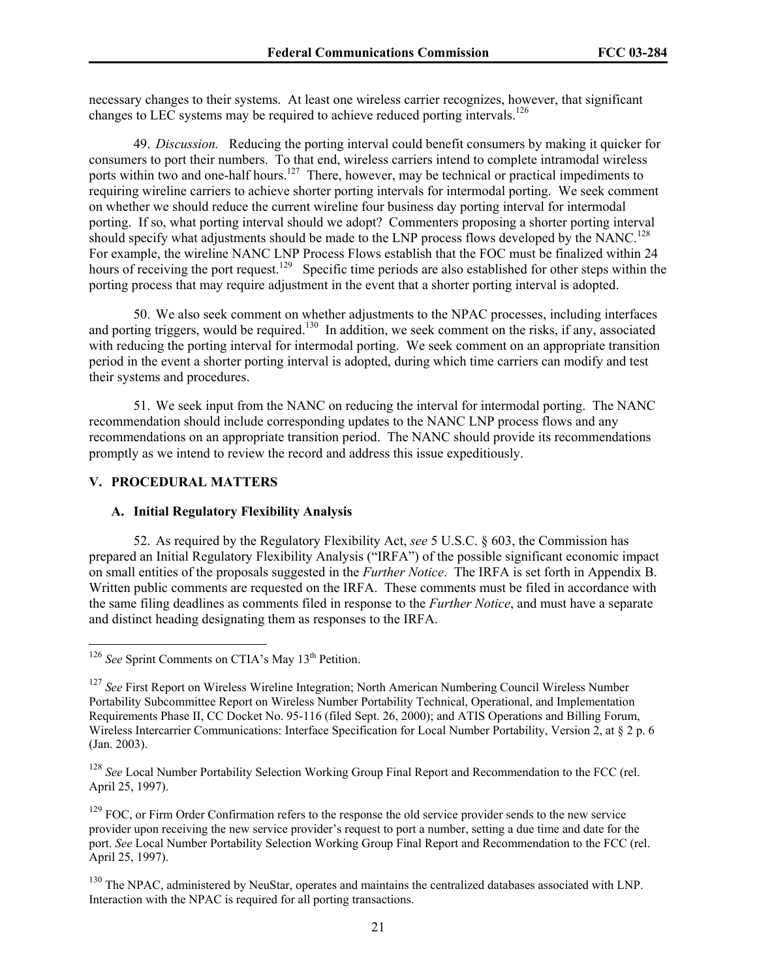necessary changes to their systems. At least one wireless carrier recognizes, however, that significant changes to LEC systems may be required to achieve reduced porting intervals.<sup>126</sup>

49. *Discussion.* Reducing the porting interval could benefit consumers by making it quicker for consumers to port their numbers. To that end, wireless carriers intend to complete intramodal wireless ports within two and one-half hours.<sup>127</sup> There, however, may be technical or practical impediments to requiring wireline carriers to achieve shorter porting intervals for intermodal porting. We seek comment on whether we should reduce the current wireline four business day porting interval for intermodal porting. If so, what porting interval should we adopt? Commenters proposing a shorter porting interval should specify what adjustments should be made to the LNP process flows developed by the NANC.<sup>128</sup> For example, the wireline NANC LNP Process Flows establish that the FOC must be finalized within 24 hours of receiving the port request.<sup>129</sup> Specific time periods are also established for other steps within the porting process that may require adjustment in the event that a shorter porting interval is adopted.

50. We also seek comment on whether adjustments to the NPAC processes, including interfaces and porting triggers, would be required.<sup>130</sup> In addition, we seek comment on the risks, if any, associated with reducing the porting interval for intermodal porting. We seek comment on an appropriate transition period in the event a shorter porting interval is adopted, during which time carriers can modify and test their systems and procedures.

51. We seek input from the NANC on reducing the interval for intermodal porting. The NANC recommendation should include corresponding updates to the NANC LNP process flows and any recommendations on an appropriate transition period. The NANC should provide its recommendations promptly as we intend to review the record and address this issue expeditiously.

## **V. PROCEDURAL MATTERS**

l

#### **A. Initial Regulatory Flexibility Analysis**

52. As required by the Regulatory Flexibility Act, *see* 5 U.S.C. § 603, the Commission has prepared an Initial Regulatory Flexibility Analysis ("IRFA") of the possible significant economic impact on small entities of the proposals suggested in the *Further Notice*. The IRFA is set forth in Appendix B. Written public comments are requested on the IRFA. These comments must be filed in accordance with the same filing deadlines as comments filed in response to the *Further Notice*, and must have a separate and distinct heading designating them as responses to the IRFA.

<sup>&</sup>lt;sup>126</sup> See Sprint Comments on CTIA's May 13<sup>th</sup> Petition.

<sup>&</sup>lt;sup>127</sup> See First Report on Wireless Wireline Integration; North American Numbering Council Wireless Number Portability Subcommittee Report on Wireless Number Portability Technical, Operational, and Implementation Requirements Phase II, CC Docket No. 95-116 (filed Sept. 26, 2000); and ATIS Operations and Billing Forum, Wireless Intercarrier Communications: Interface Specification for Local Number Portability, Version 2, at § 2 p. 6 (Jan. 2003).

<sup>128</sup> *See* Local Number Portability Selection Working Group Final Report and Recommendation to the FCC (rel. April 25, 1997).

 $129$  FOC, or Firm Order Confirmation refers to the response the old service provider sends to the new service provider upon receiving the new service provider's request to port a number, setting a due time and date for the port. *See* Local Number Portability Selection Working Group Final Report and Recommendation to the FCC (rel. April 25, 1997).

<sup>&</sup>lt;sup>130</sup> The NPAC, administered by NeuStar, operates and maintains the centralized databases associated with LNP. Interaction with the NPAC is required for all porting transactions.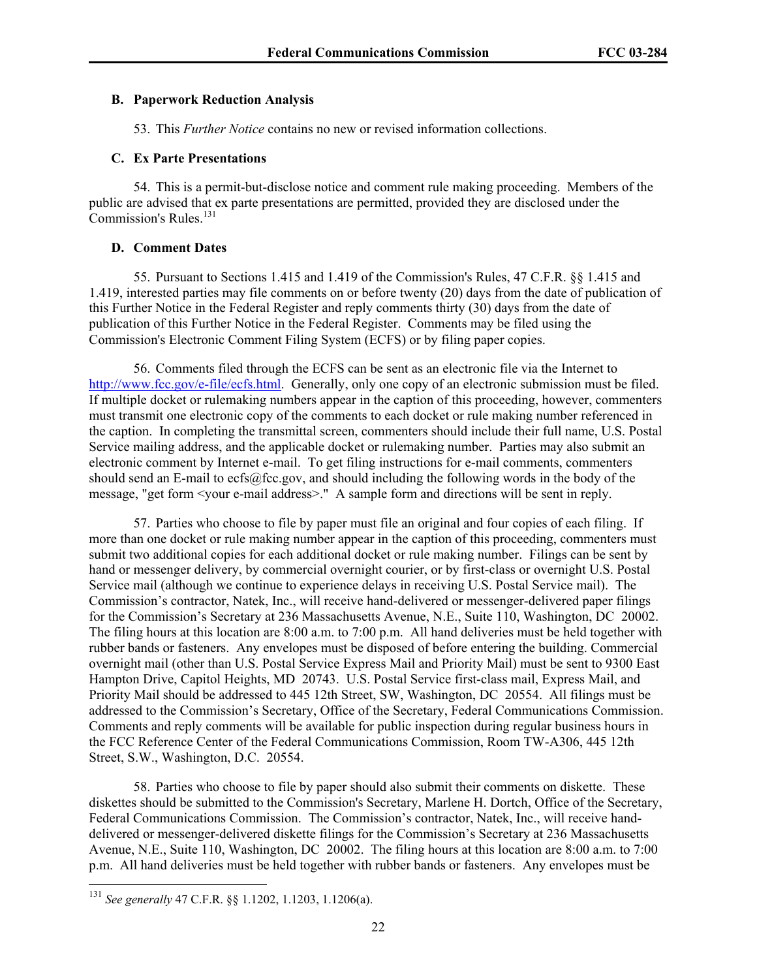#### **B. Paperwork Reduction Analysis**

53. This *Further Notice* contains no new or revised information collections.

## **C. Ex Parte Presentations**

54. This is a permit-but-disclose notice and comment rule making proceeding. Members of the public are advised that ex parte presentations are permitted, provided they are disclosed under the Commission's Rules.<sup>131</sup>

## **D. Comment Dates**

55. Pursuant to Sections 1.415 and 1.419 of the Commission's Rules, 47 C.F.R. §§ 1.415 and 1.419, interested parties may file comments on or before twenty (20) days from the date of publication of this Further Notice in the Federal Register and reply comments thirty (30) days from the date of publication of this Further Notice in the Federal Register. Comments may be filed using the Commission's Electronic Comment Filing System (ECFS) or by filing paper copies.

56. Comments filed through the ECFS can be sent as an electronic file via the Internet to http://www.fcc.gov/e-file/ecfs.html. Generally, only one copy of an electronic submission must be filed. If multiple docket or rulemaking numbers appear in the caption of this proceeding, however, commenters must transmit one electronic copy of the comments to each docket or rule making number referenced in the caption. In completing the transmittal screen, commenters should include their full name, U.S. Postal Service mailing address, and the applicable docket or rulemaking number. Parties may also submit an electronic comment by Internet e-mail. To get filing instructions for e-mail comments, commenters should send an E-mail to ecfs@fcc.gov, and should including the following words in the body of the message, "get form <your e-mail address>." A sample form and directions will be sent in reply.

57. Parties who choose to file by paper must file an original and four copies of each filing. If more than one docket or rule making number appear in the caption of this proceeding, commenters must submit two additional copies for each additional docket or rule making number. Filings can be sent by hand or messenger delivery, by commercial overnight courier, or by first-class or overnight U.S. Postal Service mail (although we continue to experience delays in receiving U.S. Postal Service mail). The Commission's contractor, Natek, Inc., will receive hand-delivered or messenger-delivered paper filings for the Commission's Secretary at 236 Massachusetts Avenue, N.E., Suite 110, Washington, DC 20002. The filing hours at this location are 8:00 a.m. to 7:00 p.m. All hand deliveries must be held together with rubber bands or fasteners. Any envelopes must be disposed of before entering the building. Commercial overnight mail (other than U.S. Postal Service Express Mail and Priority Mail) must be sent to 9300 East Hampton Drive, Capitol Heights, MD 20743. U.S. Postal Service first-class mail, Express Mail, and Priority Mail should be addressed to 445 12th Street, SW, Washington, DC 20554. All filings must be addressed to the Commission's Secretary, Office of the Secretary, Federal Communications Commission. Comments and reply comments will be available for public inspection during regular business hours in the FCC Reference Center of the Federal Communications Commission, Room TW-A306, 445 12th Street, S.W., Washington, D.C. 20554.

58. Parties who choose to file by paper should also submit their comments on diskette. These diskettes should be submitted to the Commission's Secretary, Marlene H. Dortch, Office of the Secretary, Federal Communications Commission. The Commission's contractor, Natek, Inc., will receive handdelivered or messenger-delivered diskette filings for the Commission's Secretary at 236 Massachusetts Avenue, N.E., Suite 110, Washington, DC 20002. The filing hours at this location are 8:00 a.m. to 7:00 p.m. All hand deliveries must be held together with rubber bands or fasteners. Any envelopes must be

l

<sup>131</sup> *See generally* 47 C.F.R. §§ 1.1202, 1.1203, 1.1206(a).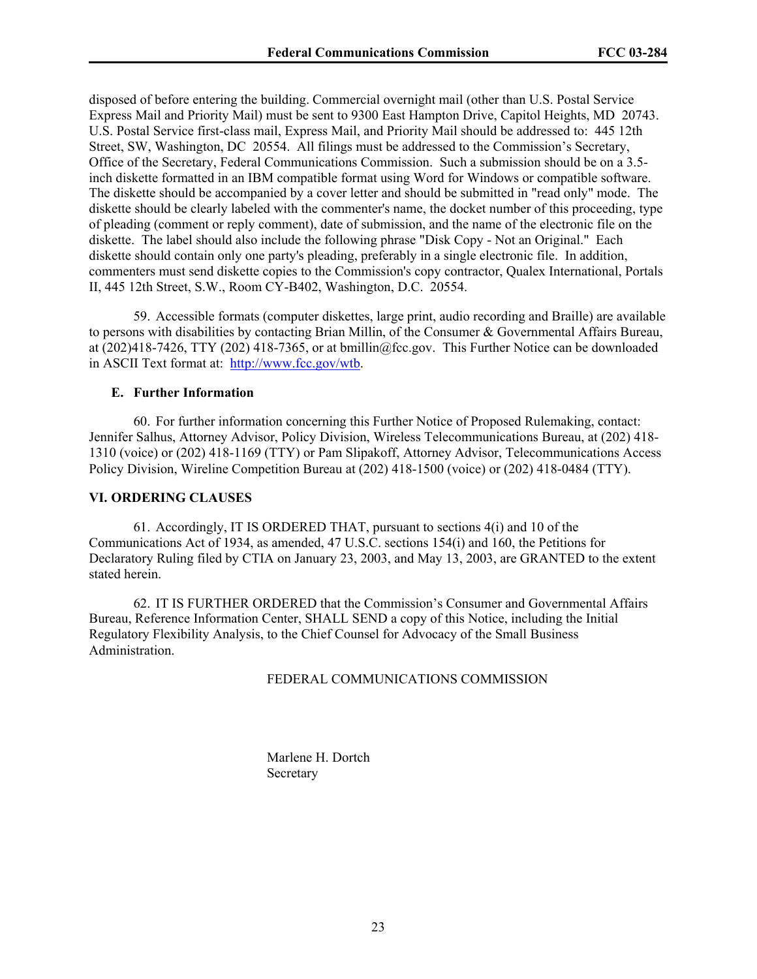disposed of before entering the building. Commercial overnight mail (other than U.S. Postal Service Express Mail and Priority Mail) must be sent to 9300 East Hampton Drive, Capitol Heights, MD 20743. U.S. Postal Service first-class mail, Express Mail, and Priority Mail should be addressed to: 445 12th Street, SW, Washington, DC 20554. All filings must be addressed to the Commission's Secretary, Office of the Secretary, Federal Communications Commission. Such a submission should be on a 3.5 inch diskette formatted in an IBM compatible format using Word for Windows or compatible software. The diskette should be accompanied by a cover letter and should be submitted in "read only" mode. The diskette should be clearly labeled with the commenter's name, the docket number of this proceeding, type of pleading (comment or reply comment), date of submission, and the name of the electronic file on the diskette. The label should also include the following phrase "Disk Copy - Not an Original." Each diskette should contain only one party's pleading, preferably in a single electronic file. In addition, commenters must send diskette copies to the Commission's copy contractor, Qualex International, Portals II, 445 12th Street, S.W., Room CY-B402, Washington, D.C. 20554.

59. Accessible formats (computer diskettes, large print, audio recording and Braille) are available to persons with disabilities by contacting Brian Millin, of the Consumer & Governmental Affairs Bureau, at (202)418-7426, TTY (202) 418-7365, or at bmillin@fcc.gov. This Further Notice can be downloaded in ASCII Text format at: http://www.fcc.gov/wtb.

#### **E. Further Information**

60. For further information concerning this Further Notice of Proposed Rulemaking, contact: Jennifer Salhus, Attorney Advisor, Policy Division, Wireless Telecommunications Bureau, at (202) 418- 1310 (voice) or (202) 418-1169 (TTY) or Pam Slipakoff, Attorney Advisor, Telecommunications Access Policy Division, Wireline Competition Bureau at (202) 418-1500 (voice) or (202) 418-0484 (TTY).

#### **VI. ORDERING CLAUSES**

61. Accordingly, IT IS ORDERED THAT, pursuant to sections 4(i) and 10 of the Communications Act of 1934, as amended, 47 U.S.C. sections 154(i) and 160, the Petitions for Declaratory Ruling filed by CTIA on January 23, 2003, and May 13, 2003, are GRANTED to the extent stated herein.

62. IT IS FURTHER ORDERED that the Commission's Consumer and Governmental Affairs Bureau, Reference Information Center, SHALL SEND a copy of this Notice, including the Initial Regulatory Flexibility Analysis, to the Chief Counsel for Advocacy of the Small Business Administration.

## FEDERAL COMMUNICATIONS COMMISSION

 Marlene H. Dortch **Secretary**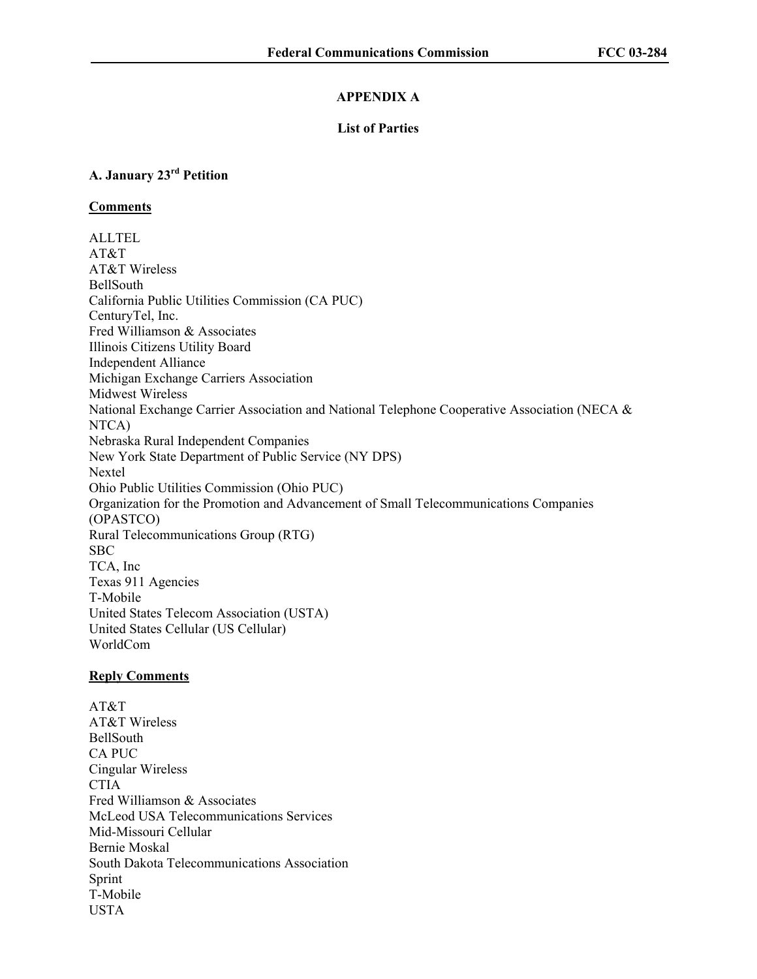## **APPENDIX A**

## **List of Parties**

## **A. January 23rd Petition**

## **Comments**

ALLTEL AT&T AT&T Wireless BellSouth California Public Utilities Commission (CA PUC) CenturyTel, Inc. Fred Williamson & Associates Illinois Citizens Utility Board Independent Alliance Michigan Exchange Carriers Association Midwest Wireless National Exchange Carrier Association and National Telephone Cooperative Association (NECA & NTCA) Nebraska Rural Independent Companies New York State Department of Public Service (NY DPS) Nextel Ohio Public Utilities Commission (Ohio PUC) Organization for the Promotion and Advancement of Small Telecommunications Companies (OPASTCO) Rural Telecommunications Group (RTG) SBC TCA, Inc Texas 911 Agencies T-Mobile United States Telecom Association (USTA) United States Cellular (US Cellular) WorldCom

#### **Reply Comments**

AT&T AT&T Wireless BellSouth CA PUC Cingular Wireless **CTIA** Fred Williamson & Associates McLeod USA Telecommunications Services Mid-Missouri Cellular Bernie Moskal South Dakota Telecommunications Association Sprint T-Mobile USTA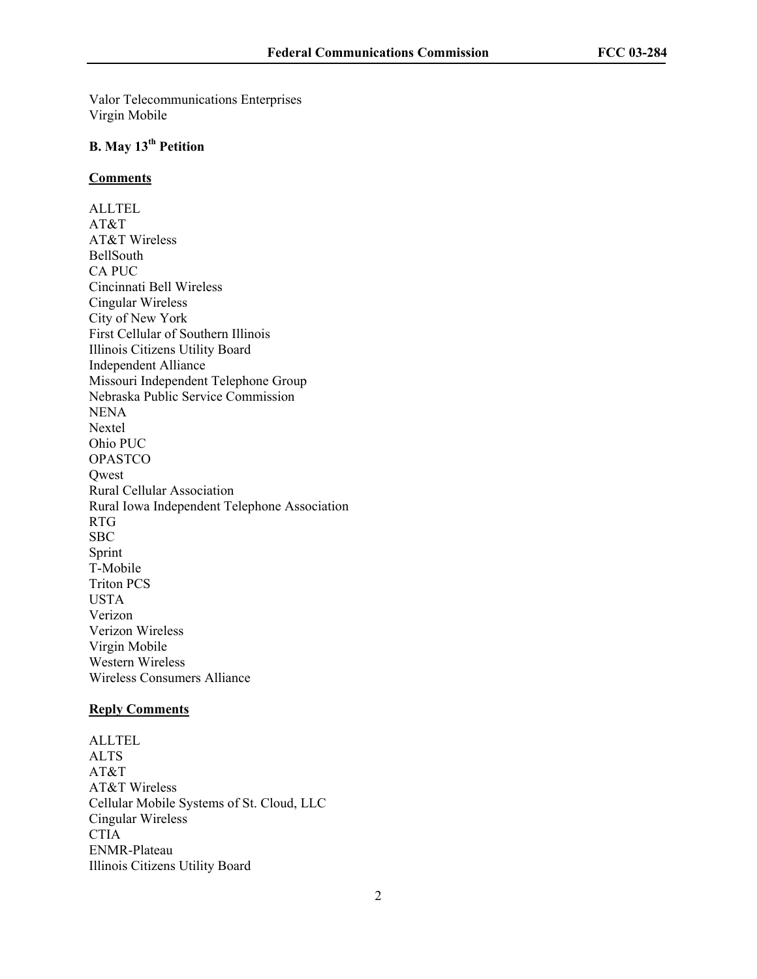Valor Telecommunications Enterprises Virgin Mobile

# **B. May 13th Petition**

#### **Comments**

ALLTEL AT&T AT&T Wireless BellSouth CA PUC Cincinnati Bell Wireless Cingular Wireless City of New York First Cellular of Southern Illinois Illinois Citizens Utility Board Independent Alliance Missouri Independent Telephone Group Nebraska Public Service Commission **NENA** Nextel Ohio PUC OPASTCO Qwest Rural Cellular Association Rural Iowa Independent Telephone Association RTG SBC Sprint T-Mobile Triton PCS USTA Verizon Verizon Wireless Virgin Mobile Western Wireless Wireless Consumers Alliance

#### **Reply Comments**

ALLTEL ALTS AT&T AT&T Wireless Cellular Mobile Systems of St. Cloud, LLC Cingular Wireless CTIA ENMR-Plateau Illinois Citizens Utility Board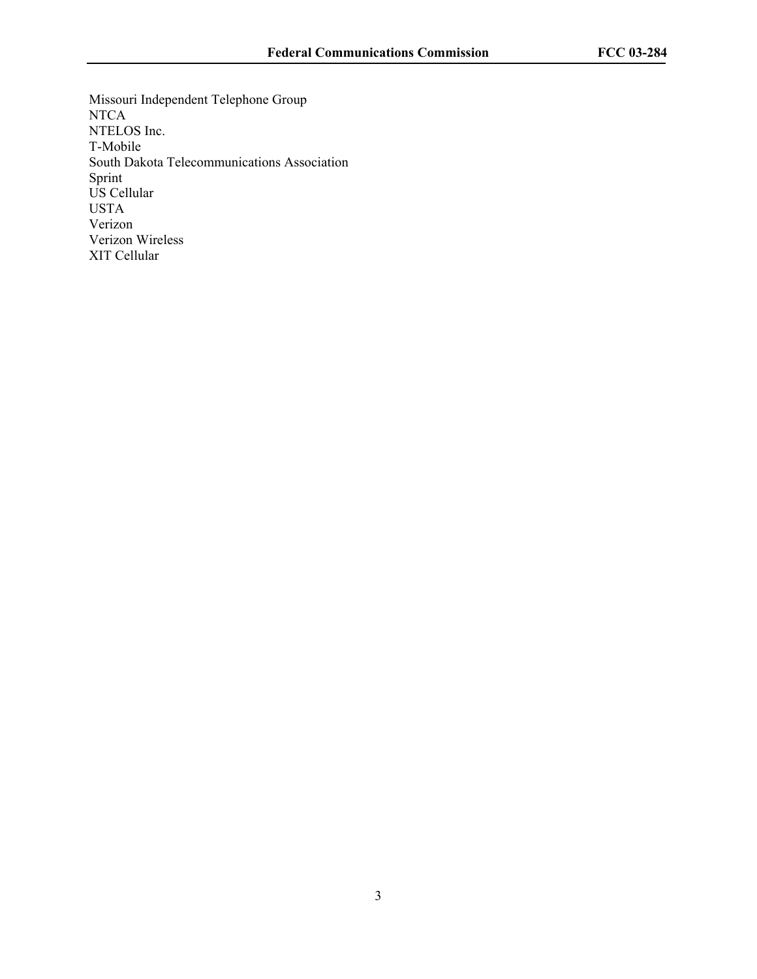Missouri Independent Telephone Group NTCA NTELOS Inc. T-Mobile South Dakota Telecommunications Association Sprint US Cellular USTA Verizon Verizon Wireless XIT Cellular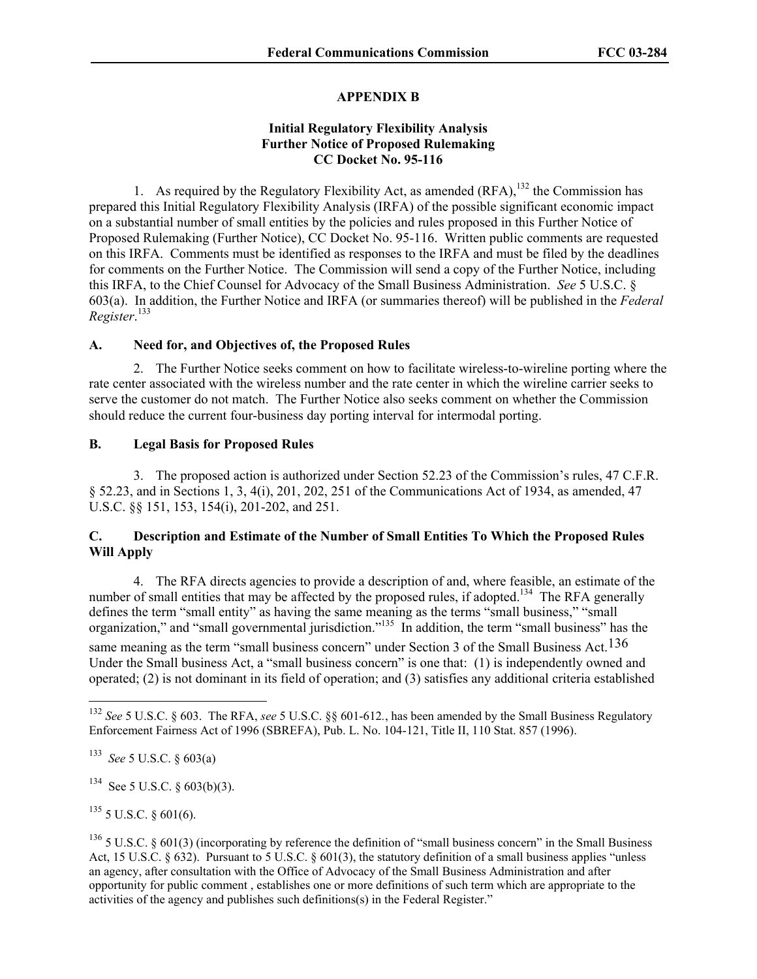## **APPENDIX B**

## **Initial Regulatory Flexibility Analysis Further Notice of Proposed Rulemaking CC Docket No. 95-116**

1. As required by the Regulatory Flexibility Act, as amended  $(RFA)$ ,<sup>132</sup>, the Commission has prepared this Initial Regulatory Flexibility Analysis (IRFA) of the possible significant economic impact on a substantial number of small entities by the policies and rules proposed in this Further Notice of Proposed Rulemaking (Further Notice), CC Docket No. 95-116. Written public comments are requested on this IRFA. Comments must be identified as responses to the IRFA and must be filed by the deadlines for comments on the Further Notice. The Commission will send a copy of the Further Notice, including this IRFA, to the Chief Counsel for Advocacy of the Small Business Administration. *See* 5 U.S.C. § 603(a). In addition, the Further Notice and IRFA (or summaries thereof) will be published in the *Federal Register*. 133

## **A. Need for, and Objectives of, the Proposed Rules**

2. The Further Notice seeks comment on how to facilitate wireless-to-wireline porting where the rate center associated with the wireless number and the rate center in which the wireline carrier seeks to serve the customer do not match. The Further Notice also seeks comment on whether the Commission should reduce the current four-business day porting interval for intermodal porting.

## **B. Legal Basis for Proposed Rules**

3. The proposed action is authorized under Section 52.23 of the Commission's rules, 47 C.F.R. § 52.23, and in Sections 1, 3, 4(i), 201, 202, 251 of the Communications Act of 1934, as amended, 47 U.S.C. §§ 151, 153, 154(i), 201-202, and 251.

## **C. Description and Estimate of the Number of Small Entities To Which the Proposed Rules Will Apply**

4. The RFA directs agencies to provide a description of and, where feasible, an estimate of the number of small entities that may be affected by the proposed rules, if adopted.<sup>134</sup> The RFA generally defines the term "small entity" as having the same meaning as the terms "small business," "small organization," and "small governmental jurisdiction."135 In addition, the term "small business" has the same meaning as the term "small business concern" under Section 3 of the Small Business Act.<sup>136</sup> Under the Small business Act, a "small business concern" is one that: (1) is independently owned and operated; (2) is not dominant in its field of operation; and (3) satisfies any additional criteria established

-

 $134$  See 5 U.S.C. § 603(b)(3).

 $135$  5 U.S.C. § 601(6).

<sup>132</sup> *See* 5 U.S.C. § 603. The RFA, *see* 5 U.S.C. §§ 601-612*.*, has been amended by the Small Business Regulatory Enforcement Fairness Act of 1996 (SBREFA), Pub. L. No. 104-121, Title II, 110 Stat. 857 (1996).

<sup>133</sup> *See* 5 U.S.C. § 603(a)

 $136$  5 U.S.C. § 601(3) (incorporating by reference the definition of "small business concern" in the Small Business Act, 15 U.S.C. § 632). Pursuant to 5 U.S.C. § 601(3), the statutory definition of a small business applies "unless" an agency, after consultation with the Office of Advocacy of the Small Business Administration and after opportunity for public comment , establishes one or more definitions of such term which are appropriate to the activities of the agency and publishes such definitions(s) in the Federal Register."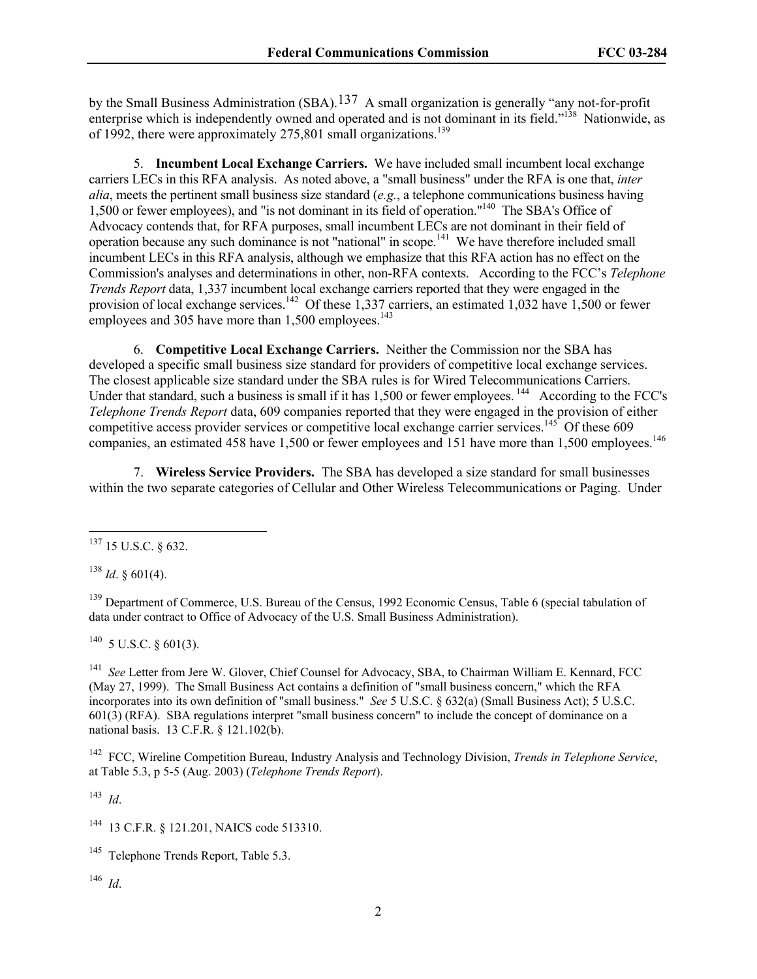by the Small Business Administration (SBA).137 A small organization is generally "any not-for-profit enterprise which is independently owned and operated and is not dominant in its field."<sup>138</sup> Nationwide, as of 1992, there were approximately  $275,801$  small organizations.<sup>139</sup>

5. **Incumbent Local Exchange Carriers.** We have included small incumbent local exchange carriers LECs in this RFA analysis. As noted above, a "small business" under the RFA is one that, *inter alia*, meets the pertinent small business size standard (*e.g.*, a telephone communications business having 1,500 or fewer employees), and "is not dominant in its field of operation."140 The SBA's Office of Advocacy contends that, for RFA purposes, small incumbent LECs are not dominant in their field of operation because any such dominance is not "national" in scope.141 We have therefore included small incumbent LECs in this RFA analysis, although we emphasize that this RFA action has no effect on the Commission's analyses and determinations in other, non-RFA contexts. According to the FCC's *Telephone Trends Report* data, 1,337 incumbent local exchange carriers reported that they were engaged in the provision of local exchange services.<sup>142</sup> Of these 1,337 carriers, an estimated 1,032 have 1,500 or fewer employees and 305 have more than  $1,500$  employees.<sup>143</sup>

6. **Competitive Local Exchange Carriers.** Neither the Commission nor the SBA has developed a specific small business size standard for providers of competitive local exchange services. The closest applicable size standard under the SBA rules is for Wired Telecommunications Carriers. Under that standard, such a business is small if it has 1,500 or fewer employees.<sup>144</sup> According to the FCC's *Telephone Trends Report* data, 609 companies reported that they were engaged in the provision of either competitive access provider services or competitive local exchange carrier services.<sup>145</sup> Of these 609 companies, an estimated 458 have 1,500 or fewer employees and 151 have more than 1,500 employees.<sup>146</sup>

7. **Wireless Service Providers.** The SBA has developed a size standard for small businesses within the two separate categories of Cellular and Other Wireless Telecommunications or Paging. Under

 $138$  *Id.* § 601(4).

1

<sup>139</sup> Department of Commerce, U.S. Bureau of the Census, 1992 Economic Census, Table 6 (special tabulation of data under contract to Office of Advocacy of the U.S. Small Business Administration).

 $^{140}$  5 U.S.C. § 601(3).

141 *See* Letter from Jere W. Glover, Chief Counsel for Advocacy, SBA, to Chairman William E. Kennard, FCC (May 27, 1999). The Small Business Act contains a definition of "small business concern," which the RFA incorporates into its own definition of "small business." *See* 5 U.S.C. § 632(a) (Small Business Act); 5 U.S.C. 601(3) (RFA). SBA regulations interpret "small business concern" to include the concept of dominance on a national basis. 13 C.F.R. § 121.102(b).

142 FCC, Wireline Competition Bureau, Industry Analysis and Technology Division, *Trends in Telephone Service*, at Table 5.3, p 5-5 (Aug. 2003) (*Telephone Trends Report*).

143 *Id*.

<sup>144</sup> 13 C.F.R. § 121.201, NAICS code 513310.

<sup>145</sup> Telephone Trends Report, Table 5.3.

146 *Id*.

 $137$  15 U.S.C. § 632.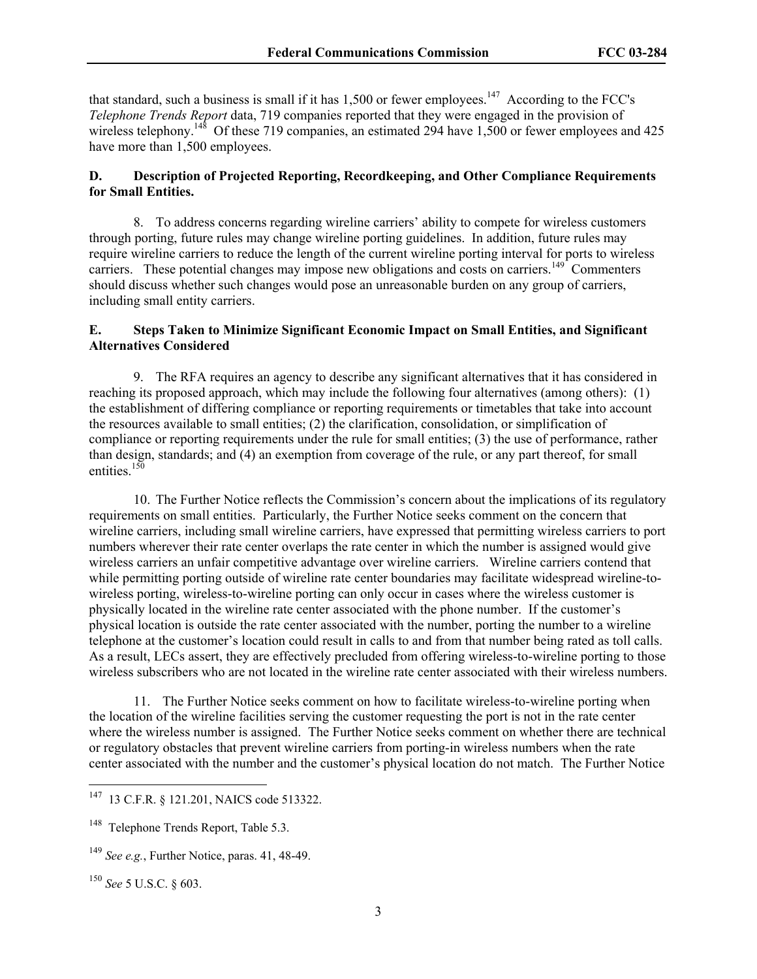that standard, such a business is small if it has  $1,500$  or fewer employees.<sup>147</sup> According to the FCC's *Telephone Trends Report* data, 719 companies reported that they were engaged in the provision of wireless telephony.<sup>148</sup> Of these 719 companies, an estimated 294 have 1,500 or fewer employees and 425 have more than 1,500 employees.

## **D. Description of Projected Reporting, Recordkeeping, and Other Compliance Requirements for Small Entities.**

8. To address concerns regarding wireline carriers' ability to compete for wireless customers through porting, future rules may change wireline porting guidelines. In addition, future rules may require wireline carriers to reduce the length of the current wireline porting interval for ports to wireless carriers. These potential changes may impose new obligations and costs on carriers.<sup>149</sup> Commenters should discuss whether such changes would pose an unreasonable burden on any group of carriers, including small entity carriers.

## **E. Steps Taken to Minimize Significant Economic Impact on Small Entities, and Significant Alternatives Considered**

9. The RFA requires an agency to describe any significant alternatives that it has considered in reaching its proposed approach, which may include the following four alternatives (among others): (1) the establishment of differing compliance or reporting requirements or timetables that take into account the resources available to small entities; (2) the clarification, consolidation, or simplification of compliance or reporting requirements under the rule for small entities; (3) the use of performance, rather than design, standards; and (4) an exemption from coverage of the rule, or any part thereof, for small entities.<sup>150</sup>

10. The Further Notice reflects the Commission's concern about the implications of its regulatory requirements on small entities. Particularly, the Further Notice seeks comment on the concern that wireline carriers, including small wireline carriers, have expressed that permitting wireless carriers to port numbers wherever their rate center overlaps the rate center in which the number is assigned would give wireless carriers an unfair competitive advantage over wireline carriers. Wireline carriers contend that while permitting porting outside of wireline rate center boundaries may facilitate widespread wireline-towireless porting, wireless-to-wireline porting can only occur in cases where the wireless customer is physically located in the wireline rate center associated with the phone number. If the customer's physical location is outside the rate center associated with the number, porting the number to a wireline telephone at the customer's location could result in calls to and from that number being rated as toll calls. As a result, LECs assert, they are effectively precluded from offering wireless-to-wireline porting to those wireless subscribers who are not located in the wireline rate center associated with their wireless numbers.

11. The Further Notice seeks comment on how to facilitate wireless-to-wireline porting when the location of the wireline facilities serving the customer requesting the port is not in the rate center where the wireless number is assigned. The Further Notice seeks comment on whether there are technical or regulatory obstacles that prevent wireline carriers from porting-in wireless numbers when the rate center associated with the number and the customer's physical location do not match. The Further Notice

<sup>150</sup> *See* 5 U.S.C. § 603.

 $\overline{\phantom{a}}$ 

<sup>&</sup>lt;sup>147</sup> 13 C.F.R. § 121.201, NAICS code 513322.

<sup>&</sup>lt;sup>148</sup> Telephone Trends Report, Table 5.3.

<sup>149</sup> *See e.g.*, Further Notice, paras. 41, 48-49.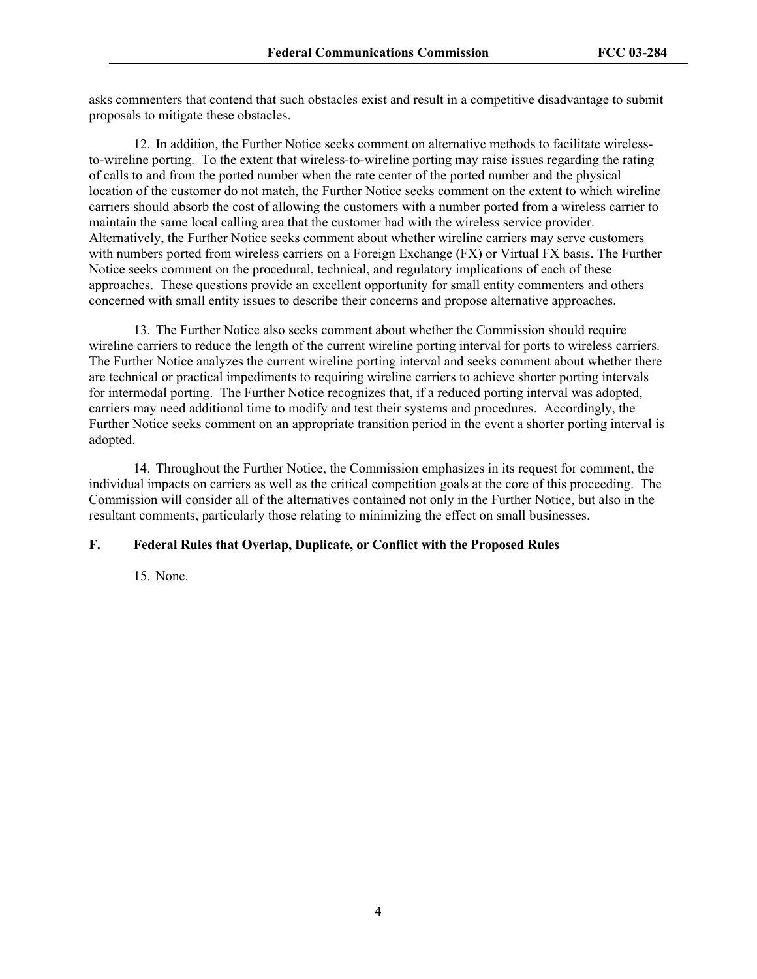asks commenters that contend that such obstacles exist and result in a competitive disadvantage to submit proposals to mitigate these obstacles.

12. In addition, the Further Notice seeks comment on alternative methods to facilitate wirelessto-wireline porting. To the extent that wireless-to-wireline porting may raise issues regarding the rating of calls to and from the ported number when the rate center of the ported number and the physical location of the customer do not match, the Further Notice seeks comment on the extent to which wireline carriers should absorb the cost of allowing the customers with a number ported from a wireless carrier to maintain the same local calling area that the customer had with the wireless service provider. Alternatively, the Further Notice seeks comment about whether wireline carriers may serve customers with numbers ported from wireless carriers on a Foreign Exchange (FX) or Virtual FX basis. The Further Notice seeks comment on the procedural, technical, and regulatory implications of each of these approaches. These questions provide an excellent opportunity for small entity commenters and others concerned with small entity issues to describe their concerns and propose alternative approaches.

13. The Further Notice also seeks comment about whether the Commission should require wireline carriers to reduce the length of the current wireline porting interval for ports to wireless carriers. The Further Notice analyzes the current wireline porting interval and seeks comment about whether there are technical or practical impediments to requiring wireline carriers to achieve shorter porting intervals for intermodal porting. The Further Notice recognizes that, if a reduced porting interval was adopted, carriers may need additional time to modify and test their systems and procedures. Accordingly, the Further Notice seeks comment on an appropriate transition period in the event a shorter porting interval is adopted.

14. Throughout the Further Notice, the Commission emphasizes in its request for comment, the individual impacts on carriers as well as the critical competition goals at the core of this proceeding. The Commission will consider all of the alternatives contained not only in the Further Notice, but also in the resultant comments, particularly those relating to minimizing the effect on small businesses.

## **F. Federal Rules that Overlap, Duplicate, or Conflict with the Proposed Rules**

15. None.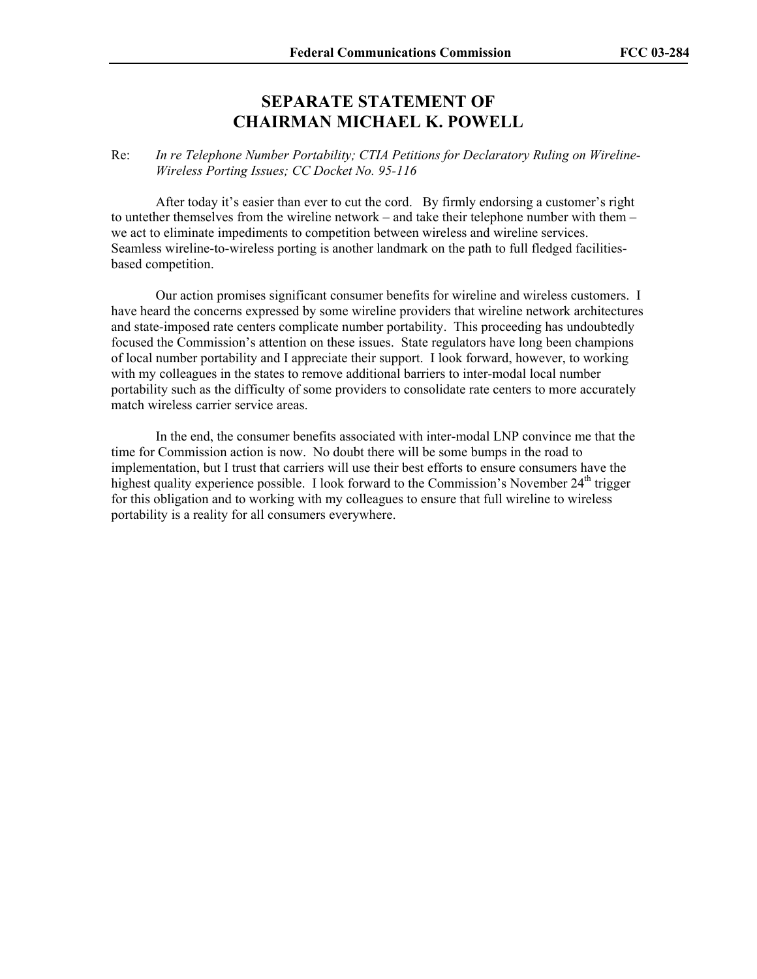# **SEPARATE STATEMENT OF CHAIRMAN MICHAEL K. POWELL**

## Re: *In re Telephone Number Portability; CTIA Petitions for Declaratory Ruling on Wireline-Wireless Porting Issues; CC Docket No. 95-116*

 After today it's easier than ever to cut the cord. By firmly endorsing a customer's right to untether themselves from the wireline network – and take their telephone number with them – we act to eliminate impediments to competition between wireless and wireline services. Seamless wireline-to-wireless porting is another landmark on the path to full fledged facilitiesbased competition.

 Our action promises significant consumer benefits for wireline and wireless customers. I have heard the concerns expressed by some wireline providers that wireline network architectures and state-imposed rate centers complicate number portability. This proceeding has undoubtedly focused the Commission's attention on these issues. State regulators have long been champions of local number portability and I appreciate their support. I look forward, however, to working with my colleagues in the states to remove additional barriers to inter-modal local number portability such as the difficulty of some providers to consolidate rate centers to more accurately match wireless carrier service areas.

 In the end, the consumer benefits associated with inter-modal LNP convince me that the time for Commission action is now. No doubt there will be some bumps in the road to implementation, but I trust that carriers will use their best efforts to ensure consumers have the highest quality experience possible. I look forward to the Commission's November 24<sup>th</sup> trigger for this obligation and to working with my colleagues to ensure that full wireline to wireless portability is a reality for all consumers everywhere.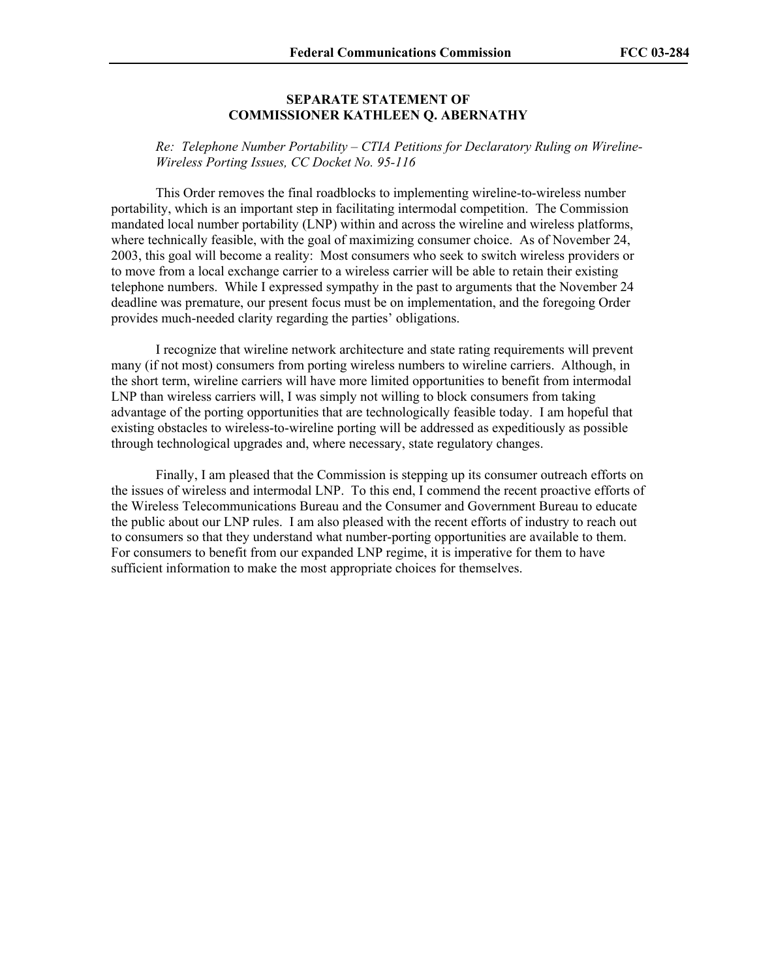#### **SEPARATE STATEMENT OF COMMISSIONER KATHLEEN Q. ABERNATHY**

*Re: Telephone Number Portability – CTIA Petitions for Declaratory Ruling on Wireline-Wireless Porting Issues, CC Docket No. 95-116* 

 This Order removes the final roadblocks to implementing wireline-to-wireless number portability, which is an important step in facilitating intermodal competition. The Commission mandated local number portability (LNP) within and across the wireline and wireless platforms, where technically feasible, with the goal of maximizing consumer choice. As of November 24, 2003, this goal will become a reality: Most consumers who seek to switch wireless providers or to move from a local exchange carrier to a wireless carrier will be able to retain their existing telephone numbers. While I expressed sympathy in the past to arguments that the November 24 deadline was premature, our present focus must be on implementation, and the foregoing Order provides much-needed clarity regarding the parties' obligations.

 I recognize that wireline network architecture and state rating requirements will prevent many (if not most) consumers from porting wireless numbers to wireline carriers. Although, in the short term, wireline carriers will have more limited opportunities to benefit from intermodal LNP than wireless carriers will, I was simply not willing to block consumers from taking advantage of the porting opportunities that are technologically feasible today. I am hopeful that existing obstacles to wireless-to-wireline porting will be addressed as expeditiously as possible through technological upgrades and, where necessary, state regulatory changes.

 Finally, I am pleased that the Commission is stepping up its consumer outreach efforts on the issues of wireless and intermodal LNP. To this end, I commend the recent proactive efforts of the Wireless Telecommunications Bureau and the Consumer and Government Bureau to educate the public about our LNP rules. I am also pleased with the recent efforts of industry to reach out to consumers so that they understand what number-porting opportunities are available to them. For consumers to benefit from our expanded LNP regime, it is imperative for them to have sufficient information to make the most appropriate choices for themselves.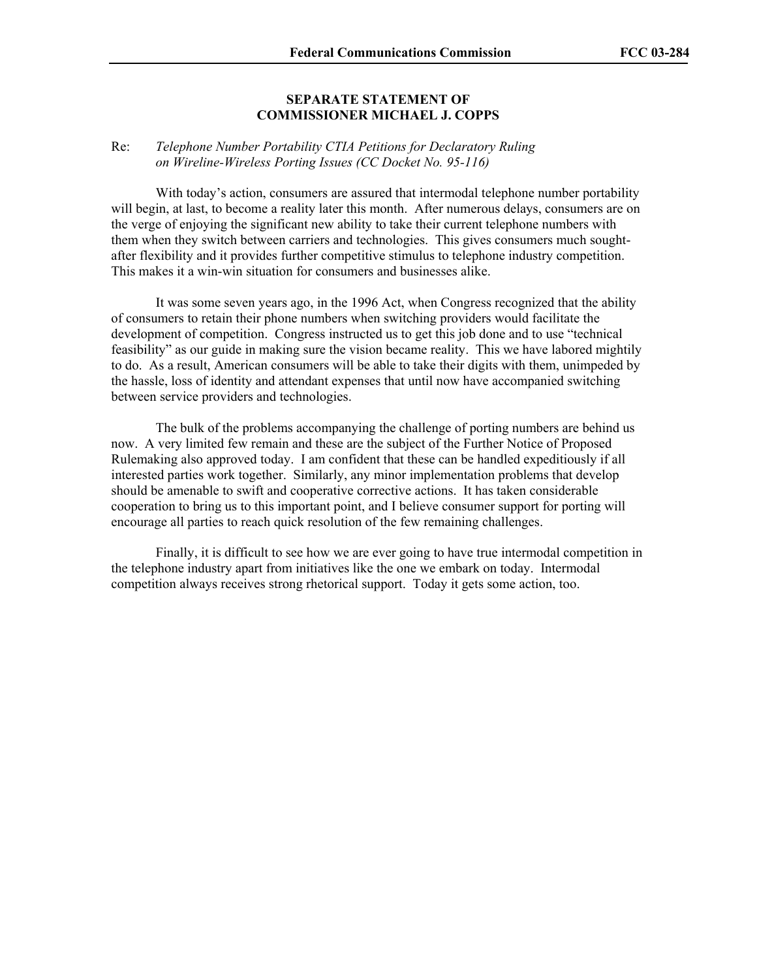## **SEPARATE STATEMENT OF COMMISSIONER MICHAEL J. COPPS**

#### Re: *Telephone Number Portability CTIA Petitions for Declaratory Ruling on Wireline-Wireless Porting Issues (CC Docket No. 95-116)*

With today's action, consumers are assured that intermodal telephone number portability will begin, at last, to become a reality later this month. After numerous delays, consumers are on the verge of enjoying the significant new ability to take their current telephone numbers with them when they switch between carriers and technologies. This gives consumers much soughtafter flexibility and it provides further competitive stimulus to telephone industry competition. This makes it a win-win situation for consumers and businesses alike.

It was some seven years ago, in the 1996 Act, when Congress recognized that the ability of consumers to retain their phone numbers when switching providers would facilitate the development of competition. Congress instructed us to get this job done and to use "technical feasibility" as our guide in making sure the vision became reality. This we have labored mightily to do. As a result, American consumers will be able to take their digits with them, unimpeded by the hassle, loss of identity and attendant expenses that until now have accompanied switching between service providers and technologies.

The bulk of the problems accompanying the challenge of porting numbers are behind us now. A very limited few remain and these are the subject of the Further Notice of Proposed Rulemaking also approved today. I am confident that these can be handled expeditiously if all interested parties work together. Similarly, any minor implementation problems that develop should be amenable to swift and cooperative corrective actions. It has taken considerable cooperation to bring us to this important point, and I believe consumer support for porting will encourage all parties to reach quick resolution of the few remaining challenges.

Finally, it is difficult to see how we are ever going to have true intermodal competition in the telephone industry apart from initiatives like the one we embark on today. Intermodal competition always receives strong rhetorical support. Today it gets some action, too.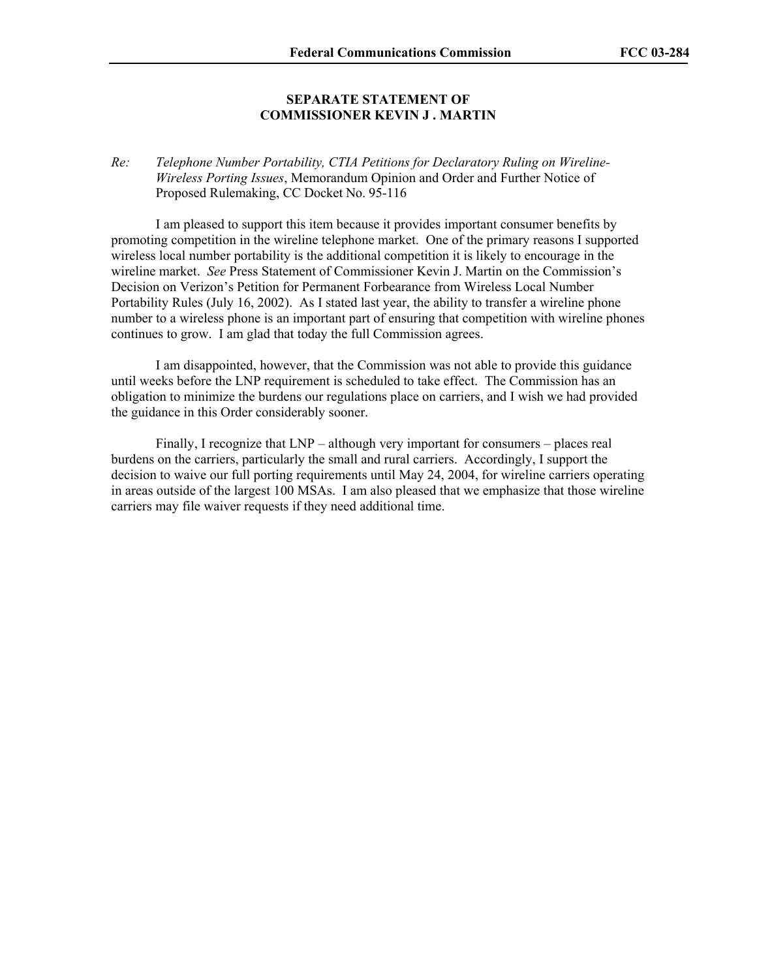#### **SEPARATE STATEMENT OF COMMISSIONER KEVIN J . MARTIN**

*Re: Telephone Number Portability, CTIA Petitions for Declaratory Ruling on Wireline-Wireless Porting Issues*, Memorandum Opinion and Order and Further Notice of Proposed Rulemaking, CC Docket No. 95-116

 I am pleased to support this item because it provides important consumer benefits by promoting competition in the wireline telephone market. One of the primary reasons I supported wireless local number portability is the additional competition it is likely to encourage in the wireline market. *See* Press Statement of Commissioner Kevin J. Martin on the Commission's Decision on Verizon's Petition for Permanent Forbearance from Wireless Local Number Portability Rules (July 16, 2002). As I stated last year, the ability to transfer a wireline phone number to a wireless phone is an important part of ensuring that competition with wireline phones continues to grow. I am glad that today the full Commission agrees.

 I am disappointed, however, that the Commission was not able to provide this guidance until weeks before the LNP requirement is scheduled to take effect. The Commission has an obligation to minimize the burdens our regulations place on carriers, and I wish we had provided the guidance in this Order considerably sooner.

 Finally, I recognize that LNP – although very important for consumers – places real burdens on the carriers, particularly the small and rural carriers. Accordingly, I support the decision to waive our full porting requirements until May 24, 2004, for wireline carriers operating in areas outside of the largest 100 MSAs. I am also pleased that we emphasize that those wireline carriers may file waiver requests if they need additional time.